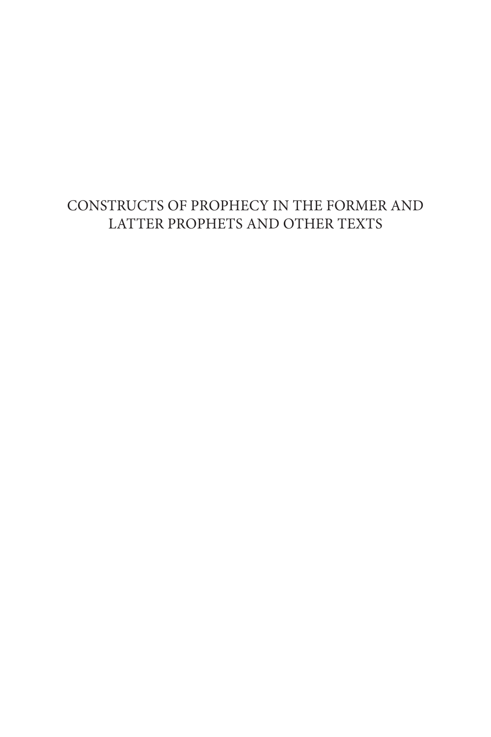# CONSTRUCTS OF PROPHECY IN THE FORMER AND LATTER PROPHETS AND OTHER TEXTS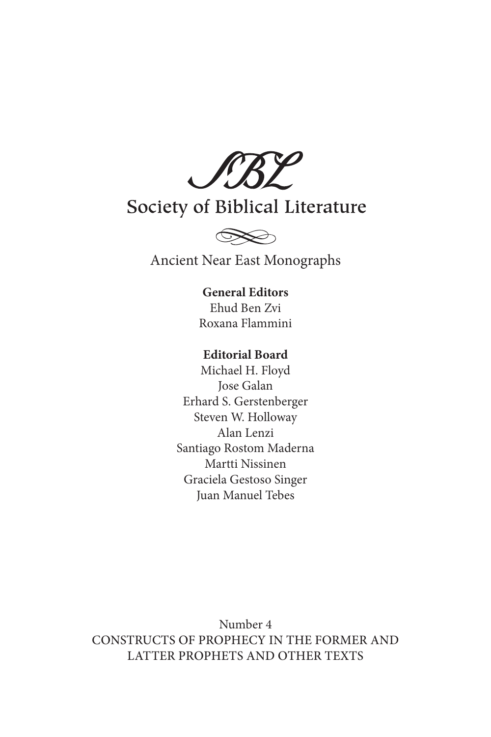SBL

# Society of Biblical Literature



Ancient Near East Monographs

**General Editors** Ehud Ben Zvi Roxana Flammini

**Editorial Board**

Michael H. Floyd Jose Galan Erhard S. Gerstenberger Steven W. Holloway Alan Lenzi Santiago Rostom Maderna Martti Nissinen Graciela Gestoso Singer Juan Manuel Tebes

Number 4 CONSTRUCTS OF PROPHECY IN THE FORMER AND LATTER PROPHETS AND OTHER TEXTS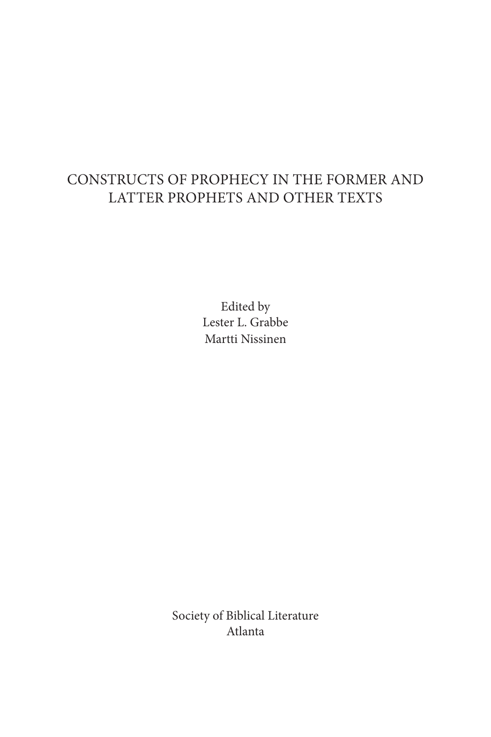# CONSTRUCTS OF PROPHECY IN THE FORMER AND LATTER PROPHETS AND OTHER TEXTS

Edited by Lester L. Grabbe Martti Nissinen

Society of Biblical Literature Atlanta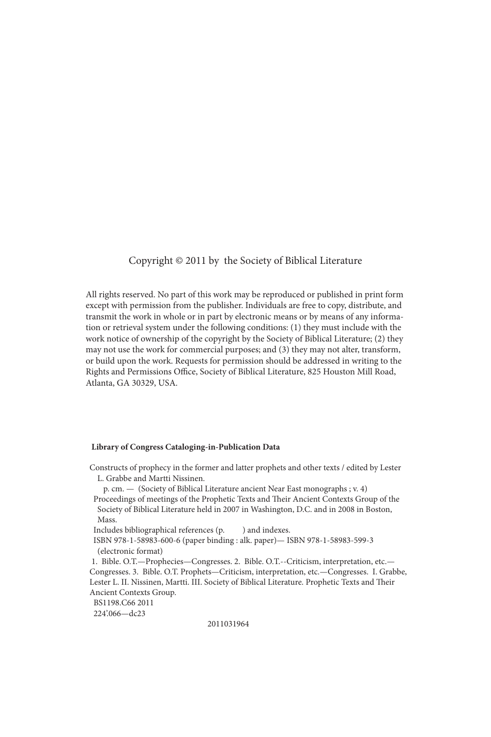Copyright © 2011 by the Society of Biblical Literature

All rights reserved. No part of this work may be reproduced or published in print form except with permission from the publisher. Individuals are free to copy, distribute, and transmit the work in whole or in part by electronic means or by means of any information or retrieval system under the following conditions: (1) they must include with the work notice of ownership of the copyright by the Society of Biblical Literature; (2) they may not use the work for commercial purposes; and (3) they may not alter, transform, or build upon the work. Requests for permission should be addressed in writing to the Rights and Permissions Office, Society of Biblical Literature, 825 Houston Mill Road, Atlanta, GA 30329, USA.

# **Library of Congress Cataloging-in-Publication Data**

Constructs of prophecy in the former and latter prophets and other texts / edited by Lester L. Grabbe and Martti Nissinen.

 p. cm. — (Society of Biblical Literature ancient Near East monographs ; v. 4) Proceedings of meetings of the Prophetic Texts and Their Ancient Contexts Group of the Society of Biblical Literature held in 2007 in Washington, D.C. and in 2008 in Boston, Mass.

Includes bibliographical references (p. ) and indexes.

 ISBN 978-1-58983-600-6 (paper binding : alk. paper)— ISBN 978-1-58983-599-3 (electronic format)

 1. Bible. O.T.—Prophecies—Congresses. 2. Bible. O.T.--Criticism, interpretation, etc.— Congresses. 3. Bible. O.T. Prophets—Criticism, interpretation, etc.—Congresses. I. Grabbe, Lester L. II. Nissinen, Martti. III. Society of Biblical Literature. Prophetic Texts and Their Ancient Contexts Group.

 BS1198.C66 2011 224'.066—dc23

2011031964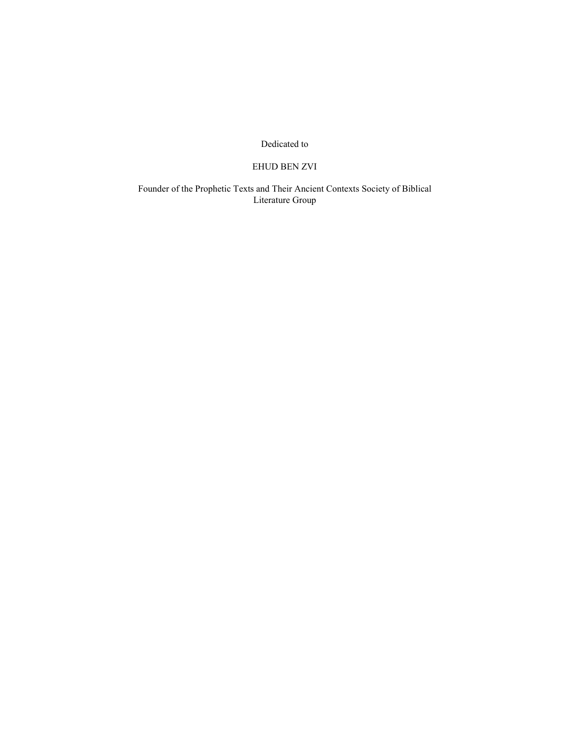# Dedicated to

# EHUD BEN ZVI

# Founder of the Prophetic Texts and Their Ancient Contexts Society of Biblical Literature Group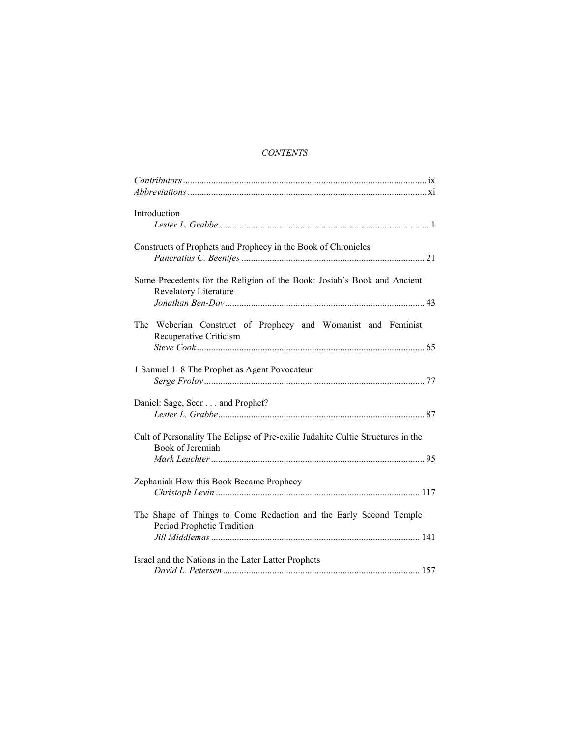# *CONTENTS*

| Introduction                                                                    |  |
|---------------------------------------------------------------------------------|--|
|                                                                                 |  |
| Constructs of Prophets and Prophecy in the Book of Chronicles                   |  |
|                                                                                 |  |
|                                                                                 |  |
| Some Precedents for the Religion of the Book: Josiah's Book and Ancient         |  |
| Revelatory Literature                                                           |  |
|                                                                                 |  |
|                                                                                 |  |
| The Weberian Construct of Prophecy and Womanist and Feminist                    |  |
| Recuperative Criticism                                                          |  |
|                                                                                 |  |
|                                                                                 |  |
| 1 Samuel 1-8 The Prophet as Agent Povocateur                                    |  |
|                                                                                 |  |
| Daniel: Sage, Seer and Prophet?                                                 |  |
|                                                                                 |  |
|                                                                                 |  |
| Cult of Personality The Eclipse of Pre-exilic Judahite Cultic Structures in the |  |
| <b>Book of Jeremiah</b>                                                         |  |
|                                                                                 |  |
|                                                                                 |  |
| Zephaniah How this Book Became Prophecy                                         |  |
|                                                                                 |  |
|                                                                                 |  |
| The Shape of Things to Come Redaction and the Early Second Temple               |  |
| Period Prophetic Tradition                                                      |  |
|                                                                                 |  |
| Israel and the Nations in the Later Latter Prophets                             |  |
|                                                                                 |  |
|                                                                                 |  |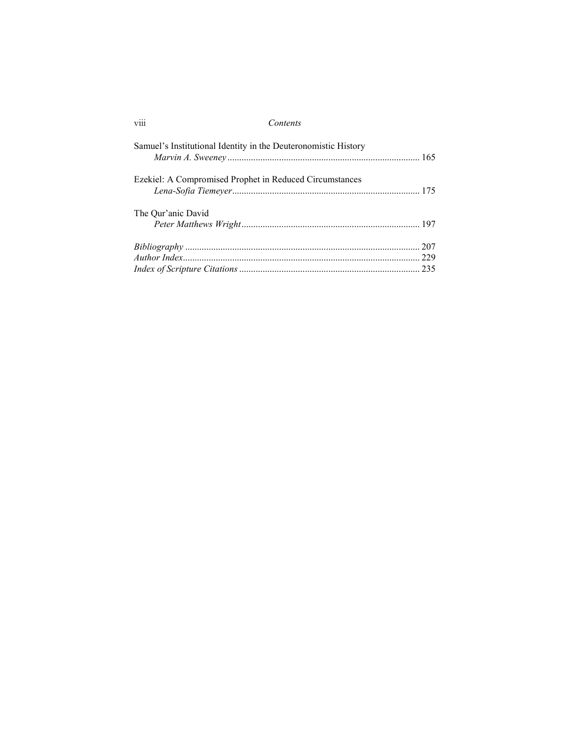# viii *Contents*

| Samuel's Institutional Identity in the Deuteronomistic History |  |
|----------------------------------------------------------------|--|
| Ezekiel: A Compromised Prophet in Reduced Circumstances        |  |
|                                                                |  |
| The Qur'anic David                                             |  |
|                                                                |  |
|                                                                |  |
|                                                                |  |
|                                                                |  |
|                                                                |  |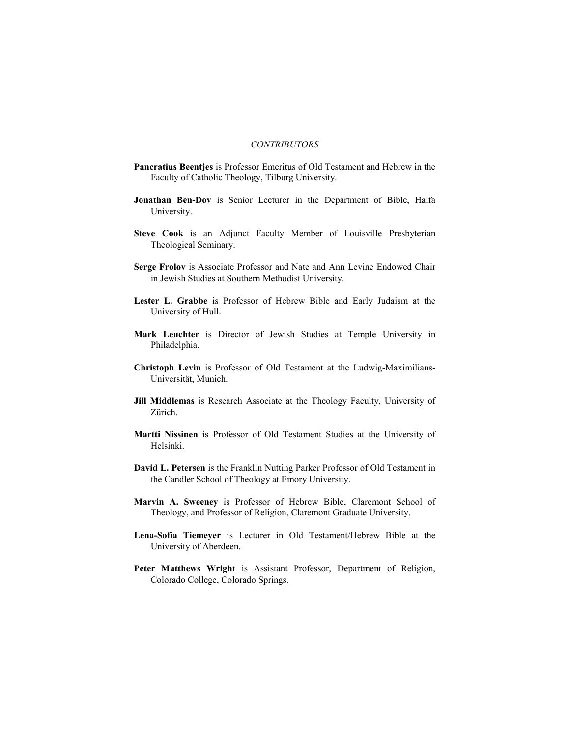# *CONTRIBUTORS*

- **Pancratius Beentjes** is Professor Emeritus of Old Testament and Hebrew in the Faculty of Catholic Theology, Tilburg University.
- **Jonathan Ben-Dov** is Senior Lecturer in the Department of Bible, Haifa University.
- **Steve Cook** is an Adjunct Faculty Member of Louisville Presbyterian Theological Seminary.
- **Serge Frolov** is Associate Professor and Nate and Ann Levine Endowed Chair in Jewish Studies at Southern Methodist University.
- **Lester L. Grabbe** is Professor of Hebrew Bible and Early Judaism at the University of Hull.
- **Mark Leuchter** is Director of Jewish Studies at Temple University in Philadelphia.
- **Christoph Levin** is Professor of Old Testament at the Ludwig-Maximilians-Universität, Munich.
- **Jill Middlemas** is Research Associate at the Theology Faculty, University of Zürich.
- **Martti Nissinen** is Professor of Old Testament Studies at the University of Helsinki.
- **David L. Petersen** is the Franklin Nutting Parker Professor of Old Testament in the Candler School of Theology at Emory University.
- **Marvin A. Sweeney** is Professor of Hebrew Bible, Claremont School of Theology, and Professor of Religion, Claremont Graduate University.
- **Lena-Sofia Tiemeyer** is Lecturer in Old Testament/Hebrew Bible at the University of Aberdeen.
- **Peter Matthews Wright** is Assistant Professor, Department of Religion, Colorado College, Colorado Springs.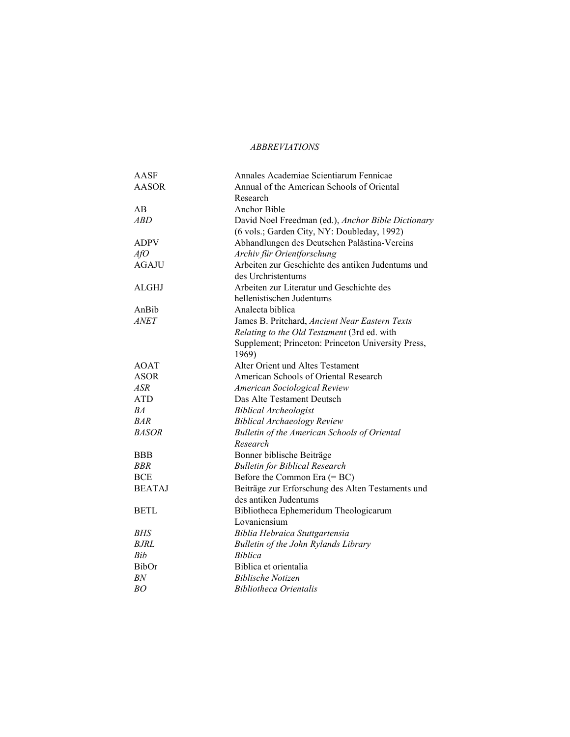# *ABBREVIATIONS*

| AASF              | Annales Academiae Scientiarum Fennicae             |
|-------------------|----------------------------------------------------|
| <b>AASOR</b>      | Annual of the American Schools of Oriental         |
|                   | Research                                           |
| AB                | Anchor Bible                                       |
| <b>ABD</b>        | David Noel Freedman (ed.), Anchor Bible Dictionary |
|                   | (6 vols.; Garden City, NY: Doubleday, 1992)        |
| <b>ADPV</b>       | Abhandlungen des Deutschen Palästina-Vereins       |
| A f O             | Archiv für Orientforschung                         |
| <b>AGAJU</b>      | Arbeiten zur Geschichte des antiken Judentums und  |
|                   | des Urchristentums                                 |
| <b>ALGHJ</b>      | Arbeiten zur Literatur und Geschichte des          |
|                   | hellenistischen Judentums                          |
| AnBib             | Analecta biblica                                   |
| ANET              | James B. Pritchard, Ancient Near Eastern Texts     |
|                   | Relating to the Old Testament (3rd ed. with        |
|                   | Supplement; Princeton: Princeton University Press, |
|                   | 1969)                                              |
| <b>AOAT</b>       | Alter Orient und Altes Testament                   |
| <b>ASOR</b>       | American Schools of Oriental Research              |
| ASR               | American Sociological Review                       |
| <b>ATD</b>        | Das Alte Testament Deutsch                         |
| BA                | <b>Biblical Archeologist</b>                       |
| <b>BAR</b>        | <b>Biblical Archaeology Review</b>                 |
| <b>BASOR</b>      | Bulletin of the American Schools of Oriental       |
|                   | Research                                           |
| BBB               | Bonner biblische Beiträge                          |
| <b>BBR</b>        | <b>Bulletin for Biblical Research</b>              |
| <b>BCE</b>        | Before the Common Era $(= BC)$                     |
| <b>BEATAJ</b>     | Beiträge zur Erforschung des Alten Testaments und  |
|                   | des antiken Judentums                              |
| <b>BETL</b>       | Bibliotheca Ephemeridum Theologicarum              |
|                   | Lovaniensium                                       |
| BHS               | Biblia Hebraica Stuttgartensia                     |
| $B_{.}$ <i>RL</i> | Bulletin of the John Rylands Library               |
| Bib               | <b>Biblica</b>                                     |
| BibOr             | Biblica et orientalia                              |
| BN                | <b>Biblische Notizen</b>                           |
| BO                | <b>Bibliotheca Orientalis</b>                      |
|                   |                                                    |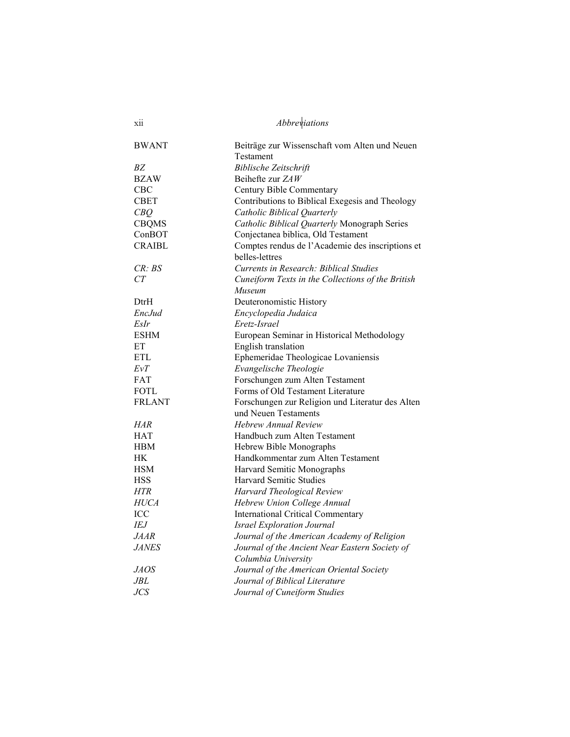xii *Abbreviations*

| <b>BWANT</b>  | Beiträge zur Wissenschaft vom Alten und Neuen     |
|---------------|---------------------------------------------------|
|               | Testament                                         |
| BZ.           | Biblische Zeitschrift                             |
| <b>BZAW</b>   | Beihefte zur ZAW                                  |
| <b>CBC</b>    | Century Bible Commentary                          |
| <b>CBET</b>   | Contributions to Biblical Exegesis and Theology   |
| CBQ           | Catholic Biblical Quarterly                       |
| <b>CBQMS</b>  | Catholic Biblical Quarterly Monograph Series      |
| ConBOT        | Conjectanea biblica, Old Testament                |
| <b>CRAIBL</b> | Comptes rendus de l'Academie des inscriptions et  |
|               | belles-lettres                                    |
| CR: BS        | Currents in Research: Biblical Studies            |
| CT            | Cuneiform Texts in the Collections of the British |
|               | Museum                                            |
| DtrH          | Deuteronomistic History                           |
| EncJud        | Encyclopedia Judaica                              |
| EsIr          | Eretz-Israel                                      |
| <b>ESHM</b>   | European Seminar in Historical Methodology        |
| ET            | English translation                               |
| <b>ETL</b>    | Ephemeridae Theologicae Lovaniensis               |
| EvT           | Evangelische Theologie                            |
| FAT           | Forschungen zum Alten Testament                   |
| <b>FOTL</b>   | Forms of Old Testament Literature                 |
| <b>FRLANT</b> | Forschungen zur Religion und Literatur des Alten  |
|               | und Neuen Testaments                              |
| <b>HAR</b>    | Hebrew Annual Review                              |
| <b>HAT</b>    | Handbuch zum Alten Testament                      |
| <b>HBM</b>    | Hebrew Bible Monographs                           |
| <b>HK</b>     | Handkommentar zum Alten Testament                 |
| <b>HSM</b>    | Harvard Semitic Monographs                        |
| <b>HSS</b>    | <b>Harvard Semitic Studies</b>                    |
| <b>HTR</b>    | Harvard Theological Review                        |
| <b>HUCA</b>   | Hebrew Union College Annual                       |
| ICC           | <b>International Critical Commentary</b>          |
| IEJ           | <b>Israel Exploration Journal</b>                 |
| <b>JAAR</b>   | Journal of the American Academy of Religion       |
| <b>JANES</b>  | Journal of the Ancient Near Eastern Society of    |
|               | Columbia University                               |
| <i>JAOS</i>   | Journal of the American Oriental Society          |
| JBL           | Journal of Biblical Literature                    |
| <b>JCS</b>    | Journal of Cuneiform Studies                      |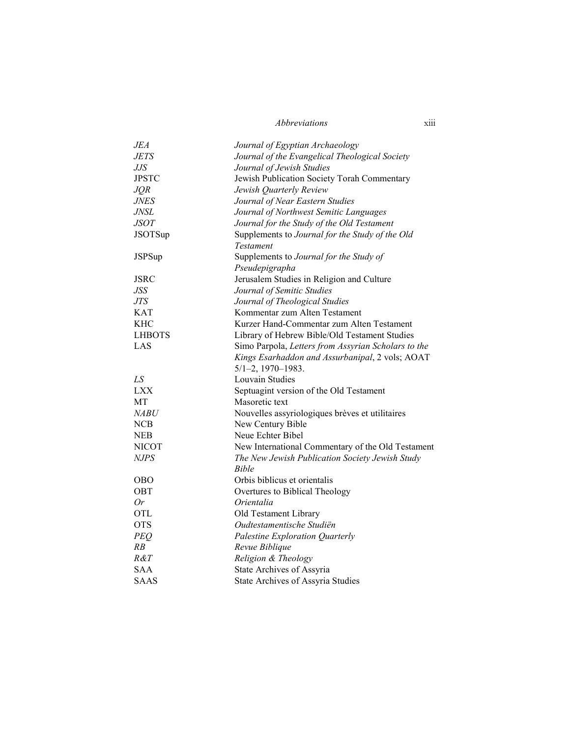*Abbreviations* xiii

| JEA            | Journal of Egyptian Archaeology                     |
|----------------|-----------------------------------------------------|
| <b>JETS</b>    | Journal of the Evangelical Theological Society      |
| IJЅ            | Journal of Jewish Studies                           |
| <b>JPSTC</b>   | Jewish Publication Society Torah Commentary         |
| <b>JQR</b>     | Jewish Quarterly Review                             |
| <b>JNES</b>    | Journal of Near Eastern Studies                     |
| <b>JNSL</b>    | Journal of Northwest Semitic Languages              |
| <i>JSOT</i>    | Journal for the Study of the Old Testament          |
| <b>JSOTSup</b> | Supplements to Journal for the Study of the Old     |
|                | <b>Testament</b>                                    |
| <b>JSPSup</b>  | Supplements to Journal for the Study of             |
|                | Pseudepigrapha                                      |
| <b>JSRC</b>    | Jerusalem Studies in Religion and Culture           |
| <b>JSS</b>     | Journal of Semitic Studies                          |
| <b>JTS</b>     | Journal of Theological Studies                      |
| <b>KAT</b>     | Kommentar zum Alten Testament                       |
| <b>KHC</b>     | Kurzer Hand-Commentar zum Alten Testament           |
| <b>LHBOTS</b>  | Library of Hebrew Bible/Old Testament Studies       |
| LAS            | Simo Parpola, Letters from Assyrian Scholars to the |
|                | Kings Esarhaddon and Assurbanipal, 2 vols; AOAT     |
|                | $5/1 - 2$ , 1970-1983.                              |
| LS             | Louvain Studies                                     |
| <b>LXX</b>     | Septuagint version of the Old Testament             |
| MT             | Masoretic text                                      |
| <b>NABU</b>    | Nouvelles assyriologiques brèves et utilitaires     |
| <b>NCB</b>     | New Century Bible                                   |
| <b>NEB</b>     | Neue Echter Bibel                                   |
| <b>NICOT</b>   | New International Commentary of the Old Testament   |
| <b>NJPS</b>    | The New Jewish Publication Society Jewish Study     |
|                | <i>Bible</i>                                        |
| OBO            | Orbis biblicus et orientalis                        |
| OBT            | Overtures to Biblical Theology                      |
| Or             | Orientalia                                          |
| <b>OTL</b>     | Old Testament Library                               |
| <b>OTS</b>     | Oudtestamentische Studiën                           |
| <b>PEO</b>     |                                                     |
| RB             | Palestine Exploration Quarterly                     |
| R&T            | Revue Biblique                                      |
| <b>SAA</b>     | Religion & Theology                                 |
|                | State Archives of Assyria                           |
| SAAS           | <b>State Archives of Assyria Studies</b>            |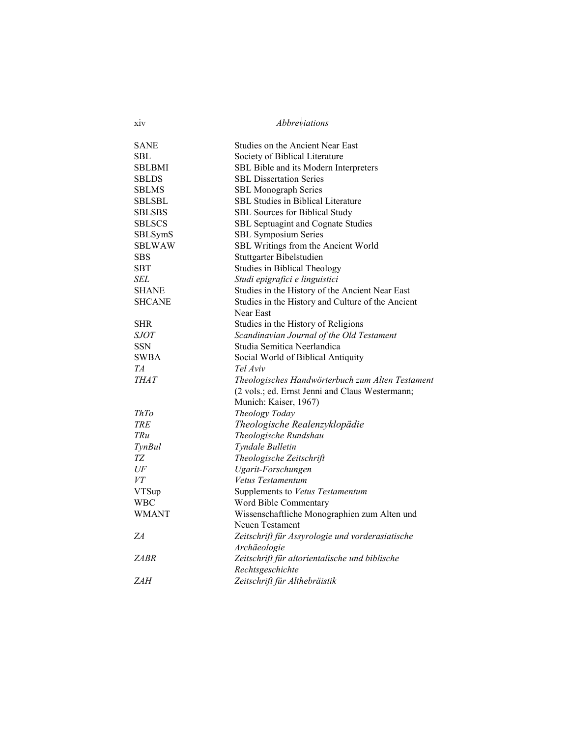xiv *Abbreviations*

| <b>SANE</b>   | Studies on the Ancient Near East                  |
|---------------|---------------------------------------------------|
| SBL           | Society of Biblical Literature                    |
| <b>SBLBMI</b> | SBL Bible and its Modern Interpreters             |
| <b>SBLDS</b>  | <b>SBL Dissertation Series</b>                    |
| <b>SBLMS</b>  | <b>SBL Monograph Series</b>                       |
| <b>SBLSBL</b> | <b>SBL Studies in Biblical Literature</b>         |
| <b>SBLSBS</b> | SBL Sources for Biblical Study                    |
| <b>SBLSCS</b> | SBL Septuagint and Cognate Studies                |
| SBLSymS       | <b>SBL Symposium Series</b>                       |
| <b>SBLWAW</b> | SBL Writings from the Ancient World               |
| SBS           | Stuttgarter Bibelstudien                          |
| <b>SBT</b>    | <b>Studies in Biblical Theology</b>               |
| SEL           | Studi epigrafici e linguistici                    |
| <b>SHANE</b>  | Studies in the History of the Ancient Near East   |
| <b>SHCANE</b> | Studies in the History and Culture of the Ancient |
|               | Near East                                         |
| SHR           | Studies in the History of Religions               |
| <b>SJOT</b>   | Scandinavian Journal of the Old Testament         |
| <b>SSN</b>    | Studia Semitica Neerlandica                       |
| <b>SWBA</b>   | Social World of Biblical Antiquity                |
| TA            | Tel Aviv                                          |
| <b>THAT</b>   | Theologisches Handwörterbuch zum Alten Testament  |
|               | (2 vols.; ed. Ernst Jenni and Claus Westermann;   |
|               | Munich: Kaiser, 1967)                             |
| <b>ThTo</b>   | Theology Today                                    |
| TRE           | Theologische Realenzyklopädie                     |
| <b>TRu</b>    | Theologische Rundshau                             |
| <b>TynBul</b> | Tyndale Bulletin                                  |
| TZ            | Theologische Zeitschrift                          |
| $U\!F$        | Ugarit-Forschungen                                |
| VT            | Vetus Testamentum                                 |
| VTSup         | Supplements to Vetus Testamentum                  |
| <b>WBC</b>    | Word Bible Commentary                             |
| <b>WMANT</b>  | Wissenschaftliche Monographien zum Alten und      |
|               | Neuen Testament                                   |
| ZA            | Zeitschrift für Assyrologie und vorderasiatische  |
|               | Archäeologie                                      |
| ZABR          | Zeitschrift für altorientalische und biblische    |
|               | Rechtsgeschichte                                  |
| <i>ZAH</i>    | Zeitschrift für Althebräistik                     |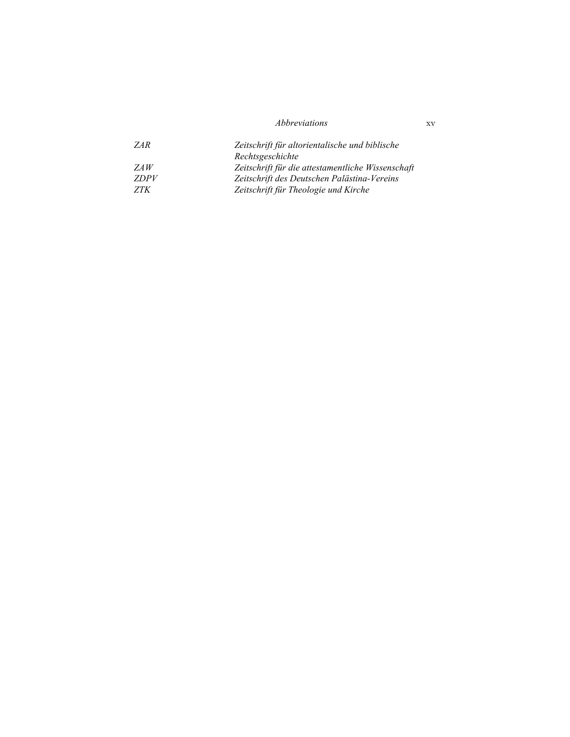*Abbreviations* xv

| ZAR         | Zeitschrift für altorientalische und biblische    |
|-------------|---------------------------------------------------|
|             | Rechtsgeschichte                                  |
| ZAW         | Zeitschrift für die attestamentliche Wissenschaft |
| <i>ZDPV</i> | Zeitschrift des Deutschen Palästina-Vereins       |
| ZTK         | Zeitschrift für Theologie und Kirche              |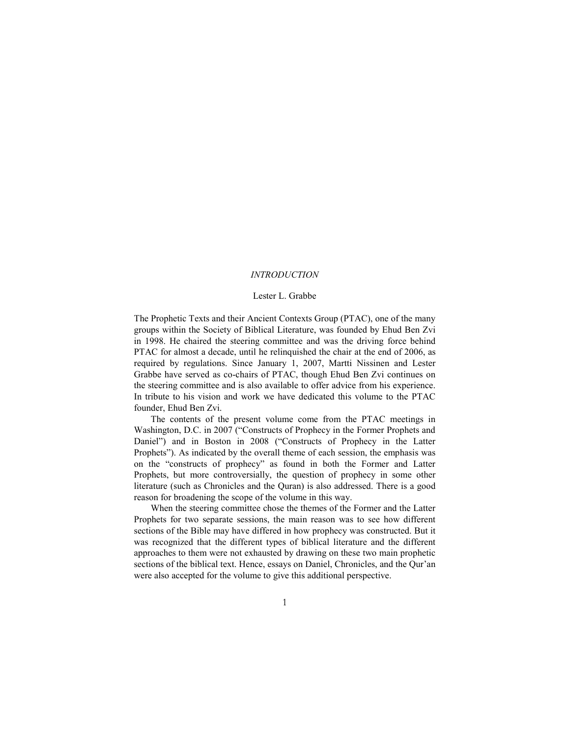## *INTRODUCTION*

#### Lester L. Grabbe

The Prophetic Texts and their Ancient Contexts Group (PTAC), one of the many groups within the Society of Biblical Literature, was founded by Ehud Ben Zvi in 1998. He chaired the steering committee and was the driving force behind PTAC for almost a decade, until he relinquished the chair at the end of 2006, as required by regulations. Since January 1, 2007, Martti Nissinen and Lester Grabbe have served as co-chairs of PTAC, though Ehud Ben Zvi continues on the steering committee and is also available to offer advice from his experience. In tribute to his vision and work we have dedicated this volume to the PTAC founder, Ehud Ben Zvi.

The contents of the present volume come from the PTAC meetings in Washington, D.C. in 2007 ("Constructs of Prophecy in the Former Prophets and Daniel") and in Boston in 2008 ("Constructs of Prophecy in the Latter Prophets"). As indicated by the overall theme of each session, the emphasis was on the "constructs of prophecy" as found in both the Former and Latter Prophets, but more controversially, the question of prophecy in some other literature (such as Chronicles and the Quran) is also addressed. There is a good reason for broadening the scope of the volume in this way.

When the steering committee chose the themes of the Former and the Latter Prophets for two separate sessions, the main reason was to see how different sections of the Bible may have differed in how prophecy was constructed. But it was recognized that the different types of biblical literature and the different approaches to them were not exhausted by drawing on these two main prophetic sections of the biblical text. Hence, essays on Daniel, Chronicles, and the Qur'an were also accepted for the volume to give this additional perspective.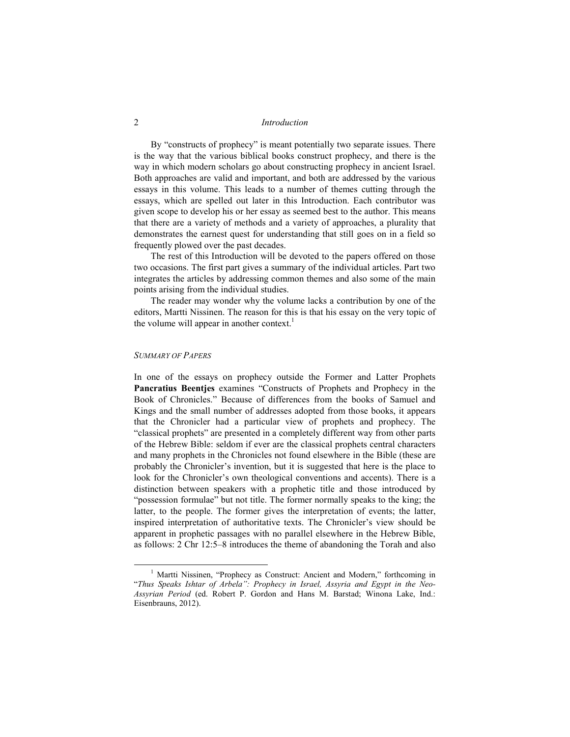# 2 *Introduction*

By "constructs of prophecy" is meant potentially two separate issues. There is the way that the various biblical books construct prophecy, and there is the way in which modern scholars go about constructing prophecy in ancient Israel. Both approaches are valid and important, and both are addressed by the various essays in this volume. This leads to a number of themes cutting through the essays, which are spelled out later in this Introduction. Each contributor was given scope to develop his or her essay as seemed best to the author. This means that there are a variety of methods and a variety of approaches, a plurality that demonstrates the earnest quest for understanding that still goes on in a field so frequently plowed over the past decades.

The rest of this Introduction will be devoted to the papers offered on those two occasions. The first part gives a summary of the individual articles. Part two integrates the articles by addressing common themes and also some of the main points arising from the individual studies.

The reader may wonder why the volume lacks a contribution by one of the editors, Martti Nissinen. The reason for this is that his essay on the very topic of the volume will appear in another context.<sup>1</sup>

#### *SUMMARY OF PAPERS*

In one of the essays on prophecy outside the Former and Latter Prophets **Pancratius Beentjes** examines "Constructs of Prophets and Prophecy in the Book of Chronicles." Because of differences from the books of Samuel and Kings and the small number of addresses adopted from those books, it appears that the Chronicler had a particular view of prophets and prophecy. The "classical prophets" are presented in a completely different way from other parts of the Hebrew Bible: seldom if ever are the classical prophets central characters and many prophets in the Chronicles not found elsewhere in the Bible (these are probably the Chronicler's invention, but it is suggested that here is the place to look for the Chronicler's own theological conventions and accents). There is a distinction between speakers with a prophetic title and those introduced by "possession formulae" but not title. The former normally speaks to the king; the latter, to the people. The former gives the interpretation of events; the latter, inspired interpretation of authoritative texts. The Chronicler's view should be apparent in prophetic passages with no parallel elsewhere in the Hebrew Bible, as follows: 2 Chr 12:5–8 introduces the theme of abandoning the Torah and also

<sup>&</sup>lt;sup>1</sup> Martti Nissinen, "Prophecy as Construct: Ancient and Modern," forthcoming in "*Thus Speaks Ishtar of Arbela": Prophecy in Israel, Assyria and Egypt in the Neo-Assyrian Period* (ed. Robert P. Gordon and Hans M. Barstad; Winona Lake, Ind.: Eisenbrauns, 2012).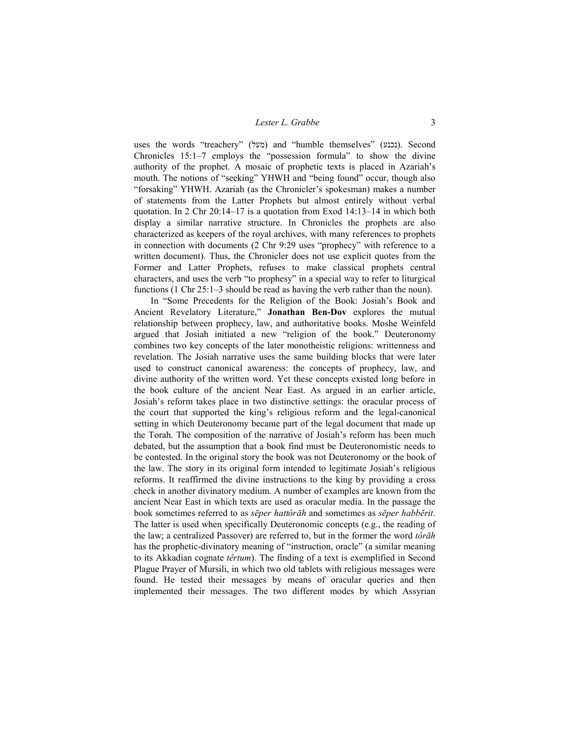uses the words "treachery" (מעל) and "humble themselves" (juzy). Second Chronicles 15:1–7 employs the "possession formula" to show the divine authority of the prophet. A mosaic of prophetic texts is placed in Azariah's mouth. The notions of "seeking" YHWH and "being found" occur, though also "forsaking" YHWH. Azariah (as the Chronicler's spokesman) makes a number of statements from the Latter Prophets but almost entirely without verbal quotation. In 2 Chr 20:14–17 is a quotation from Exod 14:13–14 in which both display a similar narrative structure. In Chronicles the prophets are also characterized as keepers of the royal archives, with many references to prophets in connection with documents (2 Chr 9:29 uses "prophecy" with reference to a written document). Thus, the Chronicler does not use explicit quotes from the Former and Latter Prophets, refuses to make classical prophets central characters, and uses the verb "to prophesy" in a special way to refer to liturgical functions (1 Chr 25:1–3 should be read as having the verb rather than the noun).

In "Some Precedents for the Religion of the Book: Josiah's Book and Ancient Revelatory Literature," **Jonathan Ben-Dov** explores the mutual relationship between prophecy, law, and authoritative books. Moshe Weinfeld argued that Josiah initiated a new "religion of the book." Deuteronomy combines two key concepts of the later monotheistic religions: writtenness and revelation. The Josiah narrative uses the same building blocks that were later used to construct canonical awareness: the concepts of prophecy, law, and divine authority of the written word. Yet these concepts existed long before in the book culture of the ancient Near East. As argued in an earlier article, Josiah's reform takes place in two distinctive settings: the oracular process of the court that supported the king's religious reform and the legal-canonical setting in which Deuteronomy became part of the legal document that made up the Torah. The composition of the narrative of Josiah's reform has been much debated, but the assumption that a book find must be Deuteronomistic needs to be contested. In the original story the book was not Deuteronomy or the book of the law. The story in its original form intended to legitimate Josiah's religious reforms. It reaffirmed the divine instructions to the king by providing a cross check in another divinatory medium. A number of examples are known from the ancient Near East in which texts are used as oracular media. In the passage the book sometimes referred to as *sēper hattôrāh* and sometimes as *sēper habběrit*. The latter is used when specifically Deuteronomic concepts (e.g., the reading of the law; a centralized Passover) are referred to, but in the former the word *tôr* $\bar{a}h$ has the prophetic-divinatory meaning of "instruction, oracle" (a similar meaning to its Akkadian cognate *têrtum*). The finding of a text is exemplified in Second Plague Prayer of Mursili, in which two old tablets with religious messages were found. He tested their messages by means of oracular queries and then implemented their messages. The two different modes by which Assyrian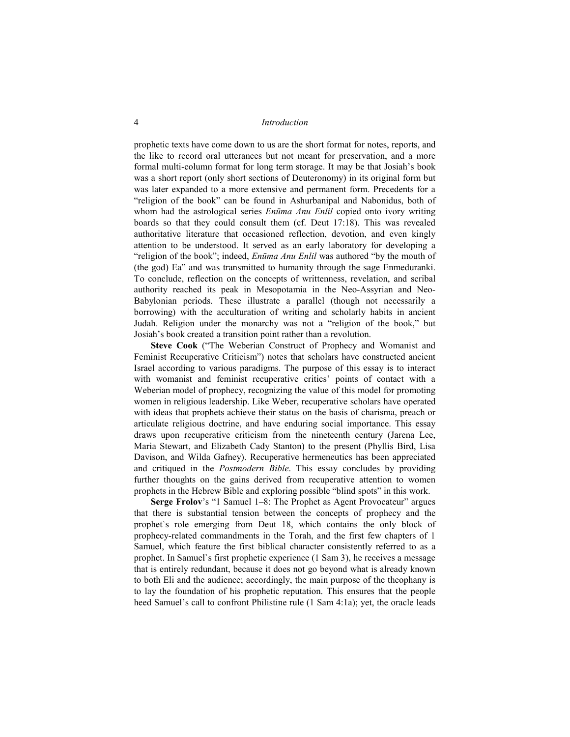# 4 *Introduction*

prophetic texts have come down to us are the short format for notes, reports, and the like to record oral utterances but not meant for preservation, and a more formal multi-column format for long term storage. It may be that Josiah's book was a short report (only short sections of Deuteronomy) in its original form but was later expanded to a more extensive and permanent form. Precedents for a "religion of the book" can be found in Ashurbanipal and Nabonidus, both of whom had the astrological series *Enūma Anu Enlil* copied onto ivory writing boards so that they could consult them (cf. Deut 17:18). This was revealed authoritative literature that occasioned reflection, devotion, and even kingly attention to be understood. It served as an early laboratory for developing a "religion of the book"; indeed, *Enūma Anu Enlil* was authored "by the mouth of (the god) Ea" and was transmitted to humanity through the sage Enmeduranki. To conclude, reflection on the concepts of writtenness, revelation, and scribal authority reached its peak in Mesopotamia in the Neo-Assyrian and Neo-Babylonian periods. These illustrate a parallel (though not necessarily a borrowing) with the acculturation of writing and scholarly habits in ancient Judah. Religion under the monarchy was not a "religion of the book," but Josiah's book created a transition point rather than a revolution.

**Steve Cook** ("The Weberian Construct of Prophecy and Womanist and Feminist Recuperative Criticism") notes that scholars have constructed ancient Israel according to various paradigms. The purpose of this essay is to interact with womanist and feminist recuperative critics' points of contact with a Weberian model of prophecy, recognizing the value of this model for promoting women in religious leadership. Like Weber, recuperative scholars have operated with ideas that prophets achieve their status on the basis of charisma, preach or articulate religious doctrine, and have enduring social importance. This essay draws upon recuperative criticism from the nineteenth century (Jarena Lee, Maria Stewart, and Elizabeth Cady Stanton) to the present (Phyllis Bird, Lisa Davison, and Wilda Gafney). Recuperative hermeneutics has been appreciated and critiqued in the *Postmodern Bible*. This essay concludes by providing further thoughts on the gains derived from recuperative attention to women prophets in the Hebrew Bible and exploring possible "blind spots" in this work.

**Serge Frolov**'s "1 Samuel 1–8: The Prophet as Agent Provocateur" argues that there is substantial tension between the concepts of prophecy and the prophet`s role emerging from Deut 18, which contains the only block of prophecy-related commandments in the Torah, and the first few chapters of 1 Samuel, which feature the first biblical character consistently referred to as a prophet. In Samuel`s first prophetic experience (1 Sam 3), he receives a message that is entirely redundant, because it does not go beyond what is already known to both Eli and the audience; accordingly, the main purpose of the theophany is to lay the foundation of his prophetic reputation. This ensures that the people heed Samuel's call to confront Philistine rule (1 Sam 4:1a); yet, the oracle leads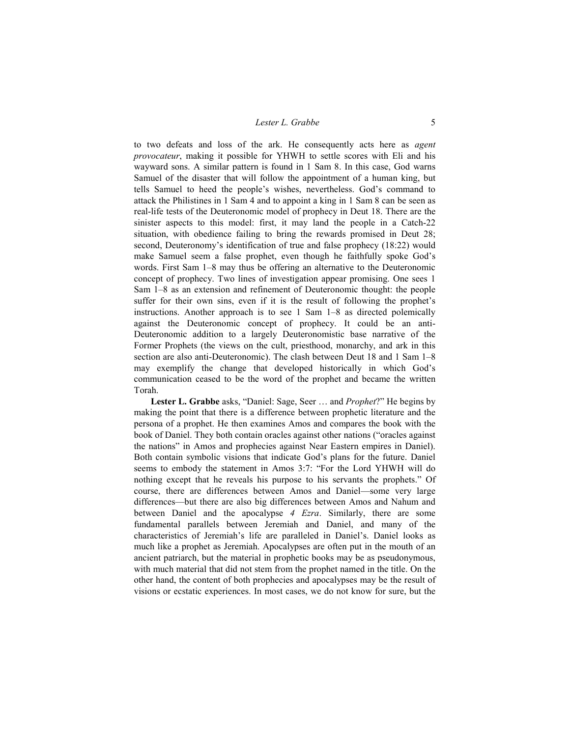to two defeats and loss of the ark. He consequently acts here as *agent provocateur*, making it possible for YHWH to settle scores with Eli and his wayward sons. A similar pattern is found in 1 Sam 8. In this case, God warns Samuel of the disaster that will follow the appointment of a human king, but tells Samuel to heed the people's wishes, nevertheless. God's command to attack the Philistines in 1 Sam 4 and to appoint a king in 1 Sam 8 can be seen as real-life tests of the Deuteronomic model of prophecy in Deut 18. There are the sinister aspects to this model: first, it may land the people in a Catch-22 situation, with obedience failing to bring the rewards promised in Deut 28; second, Deuteronomy's identification of true and false prophecy (18:22) would make Samuel seem a false prophet, even though he faithfully spoke God's words. First Sam 1–8 may thus be offering an alternative to the Deuteronomic concept of prophecy. Two lines of investigation appear promising. One sees 1 Sam 1–8 as an extension and refinement of Deuteronomic thought: the people suffer for their own sins, even if it is the result of following the prophet's instructions. Another approach is to see 1 Sam 1–8 as directed polemically against the Deuteronomic concept of prophecy. It could be an anti-Deuteronomic addition to a largely Deuteronomistic base narrative of the Former Prophets (the views on the cult, priesthood, monarchy, and ark in this section are also anti-Deuteronomic). The clash between Deut 18 and 1 Sam 1–8 may exemplify the change that developed historically in which God's communication ceased to be the word of the prophet and became the written Torah.

**Lester L. Grabbe** asks, "Daniel: Sage, Seer … and *Prophet*?" He begins by making the point that there is a difference between prophetic literature and the persona of a prophet. He then examines Amos and compares the book with the book of Daniel. They both contain oracles against other nations ("oracles against the nations" in Amos and prophecies against Near Eastern empires in Daniel). Both contain symbolic visions that indicate God's plans for the future. Daniel seems to embody the statement in Amos 3:7: "For the Lord YHWH will do nothing except that he reveals his purpose to his servants the prophets." Of course, there are differences between Amos and Daniel—some very large differences—but there are also big differences between Amos and Nahum and between Daniel and the apocalypse *4 Ezra*. Similarly, there are some fundamental parallels between Jeremiah and Daniel, and many of the characteristics of Jeremiah's life are paralleled in Daniel's. Daniel looks as much like a prophet as Jeremiah. Apocalypses are often put in the mouth of an ancient patriarch, but the material in prophetic books may be as pseudonymous, with much material that did not stem from the prophet named in the title. On the other hand, the content of both prophecies and apocalypses may be the result of visions or ecstatic experiences. In most cases, we do not know for sure, but the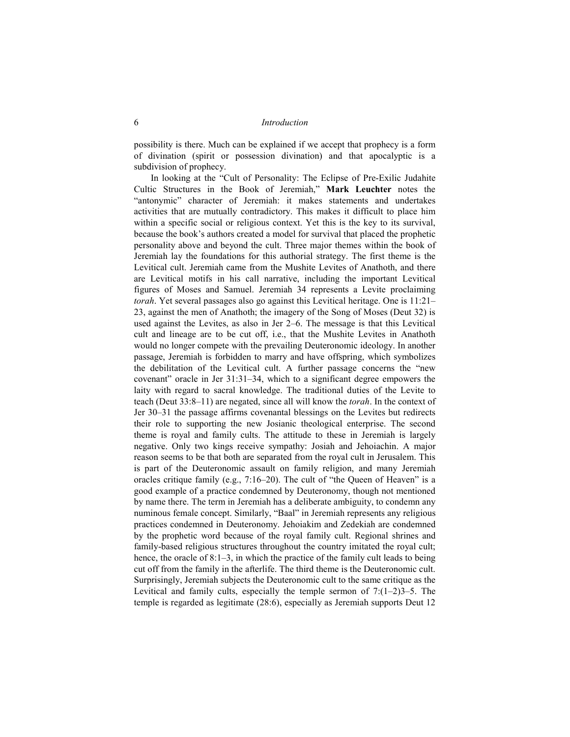possibility is there. Much can be explained if we accept that prophecy is a form of divination (spirit or possession divination) and that apocalyptic is a subdivision of prophecy.

In looking at the "Cult of Personality: The Eclipse of Pre-Exilic Judahite Cultic Structures in the Book of Jeremiah," **Mark Leuchter** notes the "antonymic" character of Jeremiah: it makes statements and undertakes activities that are mutually contradictory. This makes it difficult to place him within a specific social or religious context. Yet this is the key to its survival, because the book's authors created a model for survival that placed the prophetic personality above and beyond the cult. Three major themes within the book of Jeremiah lay the foundations for this authorial strategy. The first theme is the Levitical cult. Jeremiah came from the Mushite Levites of Anathoth, and there are Levitical motifs in his call narrative, including the important Levitical figures of Moses and Samuel. Jeremiah 34 represents a Levite proclaiming *torah*. Yet several passages also go against this Levitical heritage. One is 11:21– 23, against the men of Anathoth; the imagery of the Song of Moses (Deut 32) is used against the Levites, as also in Jer 2–6. The message is that this Levitical cult and lineage are to be cut off, i.e., that the Mushite Levites in Anathoth would no longer compete with the prevailing Deuteronomic ideology. In another passage, Jeremiah is forbidden to marry and have offspring, which symbolizes the debilitation of the Levitical cult. A further passage concerns the "new covenant" oracle in Jer 31:31–34, which to a significant degree empowers the laity with regard to sacral knowledge. The traditional duties of the Levite to teach (Deut 33:8–11) are negated, since all will know the *torah*. In the context of Jer 30–31 the passage affirms covenantal blessings on the Levites but redirects their role to supporting the new Josianic theological enterprise. The second theme is royal and family cults. The attitude to these in Jeremiah is largely negative. Only two kings receive sympathy: Josiah and Jehoiachin. A major reason seems to be that both are separated from the royal cult in Jerusalem. This is part of the Deuteronomic assault on family religion, and many Jeremiah oracles critique family (e.g., 7:16–20). The cult of "the Queen of Heaven" is a good example of a practice condemned by Deuteronomy, though not mentioned by name there. The term in Jeremiah has a deliberate ambiguity, to condemn any numinous female concept. Similarly, "Baal" in Jeremiah represents any religious practices condemned in Deuteronomy. Jehoiakim and Zedekiah are condemned by the prophetic word because of the royal family cult. Regional shrines and family-based religious structures throughout the country imitated the royal cult; hence, the oracle of 8:1–3, in which the practice of the family cult leads to being cut off from the family in the afterlife. The third theme is the Deuteronomic cult. Surprisingly, Jeremiah subjects the Deuteronomic cult to the same critique as the Levitical and family cults, especially the temple sermon of  $7:(1-2)3-5$ . The temple is regarded as legitimate (28:6), especially as Jeremiah supports Deut 12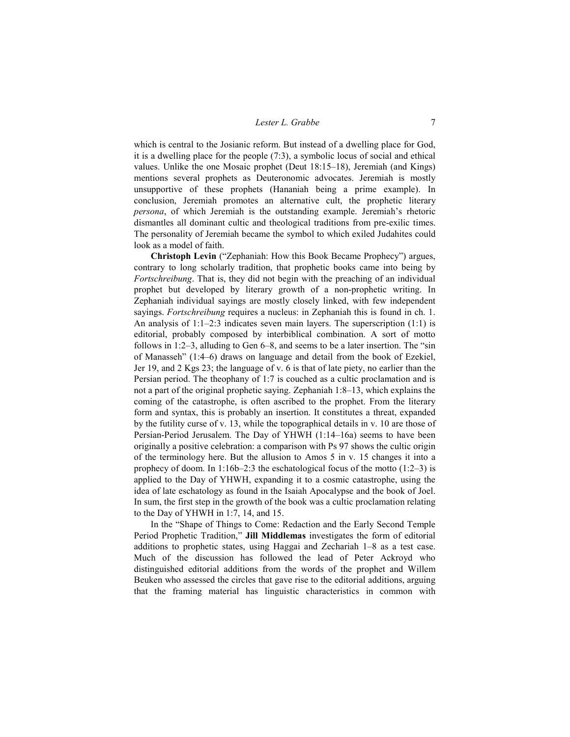which is central to the Josianic reform. But instead of a dwelling place for God, it is a dwelling place for the people (7:3), a symbolic locus of social and ethical values. Unlike the one Mosaic prophet (Deut 18:15–18), Jeremiah (and Kings) mentions several prophets as Deuteronomic advocates. Jeremiah is mostly unsupportive of these prophets (Hananiah being a prime example). In conclusion, Jeremiah promotes an alternative cult, the prophetic literary *persona*, of which Jeremiah is the outstanding example. Jeremiah's rhetoric dismantles all dominant cultic and theological traditions from pre-exilic times. The personality of Jeremiah became the symbol to which exiled Judahites could look as a model of faith.

**Christoph Levin** ("Zephaniah: How this Book Became Prophecy") argues, contrary to long scholarly tradition, that prophetic books came into being by *Fortschreibung*. That is, they did not begin with the preaching of an individual prophet but developed by literary growth of a non-prophetic writing. In Zephaniah individual sayings are mostly closely linked, with few independent sayings. *Fortschreibung* requires a nucleus: in Zephaniah this is found in ch. 1. An analysis of  $1:1-2:3$  indicates seven main layers. The superscription  $(1:1)$  is editorial, probably composed by interbiblical combination. A sort of motto follows in 1:2–3, alluding to Gen 6–8, and seems to be a later insertion. The "sin of Manasseh" (1:4–6) draws on language and detail from the book of Ezekiel, Jer 19, and 2 Kgs 23; the language of v. 6 is that of late piety, no earlier than the Persian period. The theophany of 1:7 is couched as a cultic proclamation and is not a part of the original prophetic saying. Zephaniah 1:8–13, which explains the coming of the catastrophe, is often ascribed to the prophet. From the literary form and syntax, this is probably an insertion. It constitutes a threat, expanded by the futility curse of v. 13, while the topographical details in v. 10 are those of Persian-Period Jerusalem. The Day of YHWH (1:14–16a) seems to have been originally a positive celebration: a comparison with Ps 97 shows the cultic origin of the terminology here. But the allusion to Amos 5 in v. 15 changes it into a prophecy of doom. In 1:16b–2:3 the eschatological focus of the motto (1:2–3) is applied to the Day of YHWH, expanding it to a cosmic catastrophe, using the idea of late eschatology as found in the Isaiah Apocalypse and the book of Joel. In sum, the first step in the growth of the book was a cultic proclamation relating to the Day of YHWH in 1:7, 14, and 15.

In the "Shape of Things to Come: Redaction and the Early Second Temple Period Prophetic Tradition," **Jill Middlemas** investigates the form of editorial additions to prophetic states, using Haggai and Zechariah 1–8 as a test case. Much of the discussion has followed the lead of Peter Ackroyd who distinguished editorial additions from the words of the prophet and Willem Beuken who assessed the circles that gave rise to the editorial additions, arguing that the framing material has linguistic characteristics in common with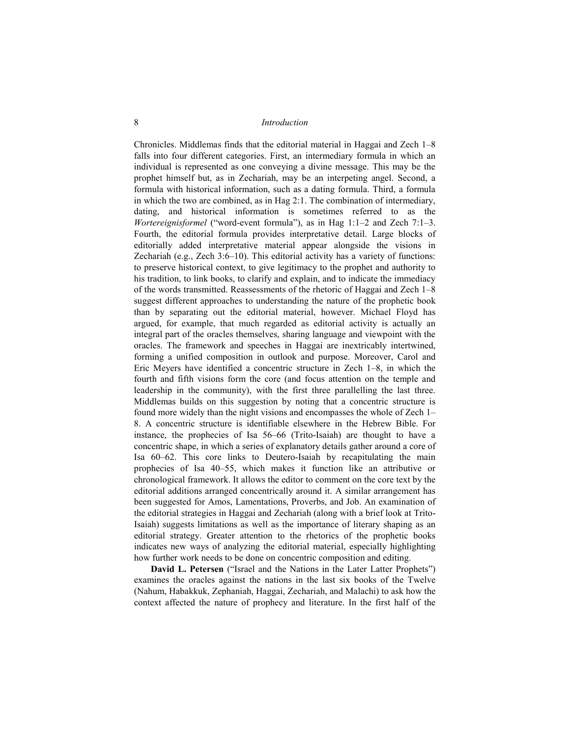Chronicles. Middlemas finds that the editorial material in Haggai and Zech 1–8 falls into four different categories. First, an intermediary formula in which an individual is represented as one conveying a divine message. This may be the prophet himself but, as in Zechariah, may be an interpeting angel. Second, a formula with historical information, such as a dating formula. Third, a formula in which the two are combined, as in Hag 2:1. The combination of intermediary, dating, and historical information is sometimes referred to as the *Wortereignisformel* ("word-event formula"), as in Hag 1:1–2 and Zech 7:1–3. Fourth, the editorial formula provides interpretative detail. Large blocks of editorially added interpretative material appear alongside the visions in Zechariah (e.g., Zech 3:6–10). This editorial activity has a variety of functions: to preserve historical context, to give legitimacy to the prophet and authority to his tradition, to link books, to clarify and explain, and to indicate the immediacy of the words transmitted. Reassessments of the rhetoric of Haggai and Zech 1–8 suggest different approaches to understanding the nature of the prophetic book than by separating out the editorial material, however. Michael Floyd has argued, for example, that much regarded as editorial activity is actually an integral part of the oracles themselves, sharing language and viewpoint with the oracles. The framework and speeches in Haggai are inextricably intertwined, forming a unified composition in outlook and purpose. Moreover, Carol and Eric Meyers have identified a concentric structure in Zech 1–8, in which the fourth and fifth visions form the core (and focus attention on the temple and leadership in the community), with the first three parallelling the last three. Middlemas builds on this suggestion by noting that a concentric structure is found more widely than the night visions and encompasses the whole of Zech 1– 8. A concentric structure is identifiable elsewhere in the Hebrew Bible. For instance, the prophecies of Isa 56–66 (Trito-Isaiah) are thought to have a concentric shape, in which a series of explanatory details gather around a core of Isa 60–62. This core links to Deutero-Isaiah by recapitulating the main prophecies of Isa 40–55, which makes it function like an attributive or chronological framework. It allows the editor to comment on the core text by the editorial additions arranged concentrically around it. A similar arrangement has been suggested for Amos, Lamentations, Proverbs, and Job. An examination of the editorial strategies in Haggai and Zechariah (along with a brief look at Trito-Isaiah) suggests limitations as well as the importance of literary shaping as an editorial strategy. Greater attention to the rhetorics of the prophetic books indicates new ways of analyzing the editorial material, especially highlighting how further work needs to be done on concentric composition and editing.

**David L. Petersen** ("Israel and the Nations in the Later Latter Prophets") examines the oracles against the nations in the last six books of the Twelve (Nahum, Habakkuk, Zephaniah, Haggai, Zechariah, and Malachi) to ask how the context affected the nature of prophecy and literature. In the first half of the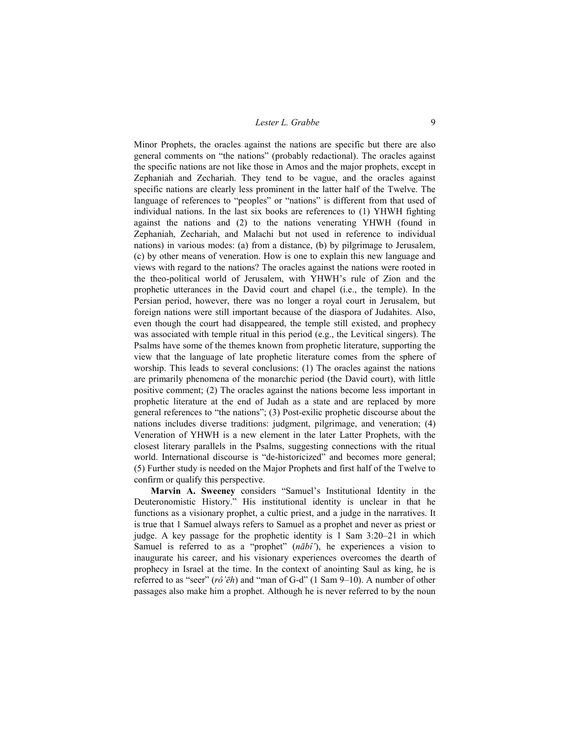Minor Prophets, the oracles against the nations are specific but there are also general comments on "the nations" (probably redactional). The oracles against the specific nations are not like those in Amos and the major prophets, except in Zephaniah and Zechariah. They tend to be vague, and the oracles against specific nations are clearly less prominent in the latter half of the Twelve. The language of references to "peoples" or "nations" is different from that used of individual nations. In the last six books are references to (1) YHWH fighting against the nations and (2) to the nations venerating YHWH (found in Zephaniah, Zechariah, and Malachi but not used in reference to individual nations) in various modes: (a) from a distance, (b) by pilgrimage to Jerusalem, (c) by other means of veneration. How is one to explain this new language and views with regard to the nations? The oracles against the nations were rooted in the theo-political world of Jerusalem, with YHWH's rule of Zion and the prophetic utterances in the David court and chapel (i.e., the temple). In the Persian period, however, there was no longer a royal court in Jerusalem, but foreign nations were still important because of the diaspora of Judahites. Also, even though the court had disappeared, the temple still existed, and prophecy was associated with temple ritual in this period (e.g., the Levitical singers). The Psalms have some of the themes known from prophetic literature, supporting the view that the language of late prophetic literature comes from the sphere of worship. This leads to several conclusions: (1) The oracles against the nations are primarily phenomena of the monarchic period (the David court), with little positive comment; (2) The oracles against the nations become less important in prophetic literature at the end of Judah as a state and are replaced by more general references to "the nations"; (3) Post-exilic prophetic discourse about the nations includes diverse traditions: judgment, pilgrimage, and veneration; (4) Veneration of YHWH is a new element in the later Latter Prophets, with the closest literary parallels in the Psalms, suggesting connections with the ritual world. International discourse is "de-historicized" and becomes more general; (5) Further study is needed on the Major Prophets and first half of the Twelve to confirm or qualify this perspective.

**Marvin A. Sweeney** considers "Samuel's Institutional Identity in the Deuteronomistic History." His institutional identity is unclear in that he functions as a visionary prophet, a cultic priest, and a judge in the narratives. It is true that 1 Samuel always refers to Samuel as a prophet and never as priest or judge. A key passage for the prophetic identity is 1 Sam 3:20–21 in which Samuel is referred to as a "prophet" ( $n\bar{a}b\hat{i}'$ ), he experiences a vision to inaugurate his career, and his visionary experiences overcomes the dearth of prophecy in Israel at the time. In the context of anointing Saul as king, he is referred to as "seer"  $(r\delta'\bar{e}h)$  and "man of G-d" (1 Sam 9–10). A number of other passages also make him a prophet. Although he is never referred to by the noun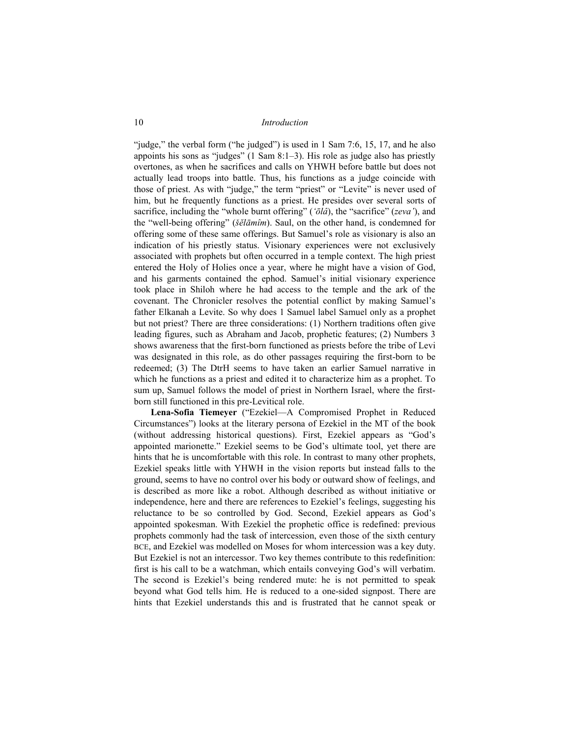"judge," the verbal form ("he judged") is used in 1 Sam 7:6, 15, 17, and he also appoints his sons as "judges" (1 Sam 8:1–3). His role as judge also has priestly overtones, as when he sacrifices and calls on YHWH before battle but does not actually lead troops into battle. Thus, his functions as a judge coincide with those of priest. As with "judge," the term "priest" or "Levite" is never used of him, but he frequently functions as a priest. He presides over several sorts of sacrifice, including the "whole burnt offering" (' $\bar{o}l\hat{a}$ ), the "sacrifice" (*zeva*<sup>'</sup>), and the "well-being offering" (*šělāmîm*). Saul, on the other hand, is condemned for offering some of these same offerings. But Samuel's role as visionary is also an indication of his priestly status. Visionary experiences were not exclusively associated with prophets but often occurred in a temple context. The high priest entered the Holy of Holies once a year, where he might have a vision of God, and his garments contained the ephod. Samuel's initial visionary experience took place in Shiloh where he had access to the temple and the ark of the covenant. The Chronicler resolves the potential conflict by making Samuel's father Elkanah a Levite. So why does 1 Samuel label Samuel only as a prophet but not priest? There are three considerations: (1) Northern traditions often give leading figures, such as Abraham and Jacob, prophetic features; (2) Numbers 3 shows awareness that the first-born functioned as priests before the tribe of Levi was designated in this role, as do other passages requiring the first-born to be redeemed; (3) The DtrH seems to have taken an earlier Samuel narrative in which he functions as a priest and edited it to characterize him as a prophet. To sum up, Samuel follows the model of priest in Northern Israel, where the firstborn still functioned in this pre-Levitical role.

**Lena-Sofia Tiemeyer** ("Ezekiel—A Compromised Prophet in Reduced Circumstances") looks at the literary persona of Ezekiel in the MT of the book (without addressing historical questions). First, Ezekiel appears as "God's appointed marionette." Ezekiel seems to be God's ultimate tool, yet there are hints that he is uncomfortable with this role. In contrast to many other prophets, Ezekiel speaks little with YHWH in the vision reports but instead falls to the ground, seems to have no control over his body or outward show of feelings, and is described as more like a robot. Although described as without initiative or independence, here and there are references to Ezekiel's feelings, suggesting his reluctance to be so controlled by God. Second, Ezekiel appears as God's appointed spokesman. With Ezekiel the prophetic office is redefined: previous prophets commonly had the task of intercession, even those of the sixth century BCE, and Ezekiel was modelled on Moses for whom intercession was a key duty. But Ezekiel is not an intercessor. Two key themes contribute to this redefinition: first is his call to be a watchman, which entails conveying God's will verbatim. The second is Ezekiel's being rendered mute: he is not permitted to speak beyond what God tells him. He is reduced to a one-sided signpost. There are hints that Ezekiel understands this and is frustrated that he cannot speak or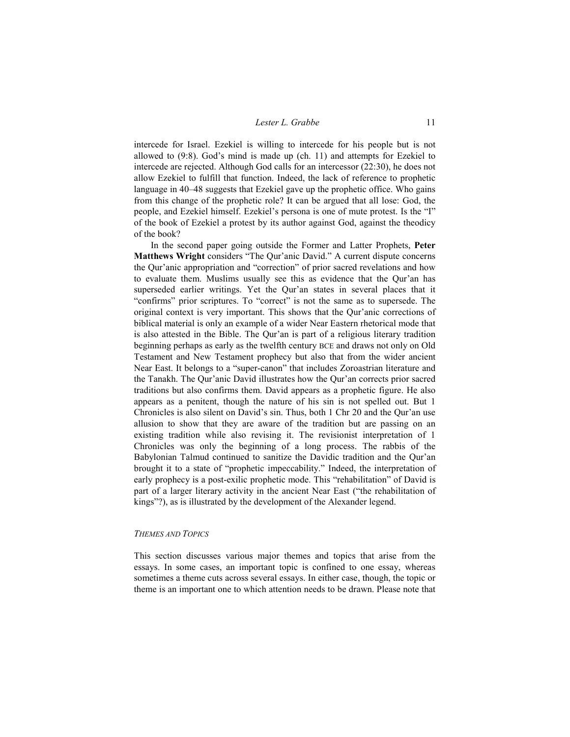intercede for Israel. Ezekiel is willing to intercede for his people but is not allowed to (9:8). God's mind is made up (ch. 11) and attempts for Ezekiel to intercede are rejected. Although God calls for an intercessor (22:30), he does not allow Ezekiel to fulfill that function. Indeed, the lack of reference to prophetic language in 40–48 suggests that Ezekiel gave up the prophetic office. Who gains from this change of the prophetic role? It can be argued that all lose: God, the people, and Ezekiel himself. Ezekiel's persona is one of mute protest. Is the "I" of the book of Ezekiel a protest by its author against God, against the theodicy of the book?

In the second paper going outside the Former and Latter Prophets, **Peter Matthews Wright** considers "The Qur'anic David." A current dispute concerns the Qur'anic appropriation and "correction" of prior sacred revelations and how to evaluate them. Muslims usually see this as evidence that the Qur'an has superseded earlier writings. Yet the Qur'an states in several places that it "confirms" prior scriptures. To "correct" is not the same as to supersede. The original context is very important. This shows that the Qur'anic corrections of biblical material is only an example of a wider Near Eastern rhetorical mode that is also attested in the Bible. The Qur'an is part of a religious literary tradition beginning perhaps as early as the twelfth century BCE and draws not only on Old Testament and New Testament prophecy but also that from the wider ancient Near East. It belongs to a "super-canon" that includes Zoroastrian literature and the Tanakh. The Qur'anic David illustrates how the Qur'an corrects prior sacred traditions but also confirms them. David appears as a prophetic figure. He also appears as a penitent, though the nature of his sin is not spelled out. But 1 Chronicles is also silent on David's sin. Thus, both 1 Chr 20 and the Qur'an use allusion to show that they are aware of the tradition but are passing on an existing tradition while also revising it. The revisionist interpretation of 1 Chronicles was only the beginning of a long process. The rabbis of the Babylonian Talmud continued to sanitize the Davidic tradition and the Qur'an brought it to a state of "prophetic impeccability." Indeed, the interpretation of early prophecy is a post-exilic prophetic mode. This "rehabilitation" of David is part of a larger literary activity in the ancient Near East ("the rehabilitation of kings"?), as is illustrated by the development of the Alexander legend.

# *THEMES AND TOPICS*

This section discusses various major themes and topics that arise from the essays. In some cases, an important topic is confined to one essay, whereas sometimes a theme cuts across several essays. In either case, though, the topic or theme is an important one to which attention needs to be drawn. Please note that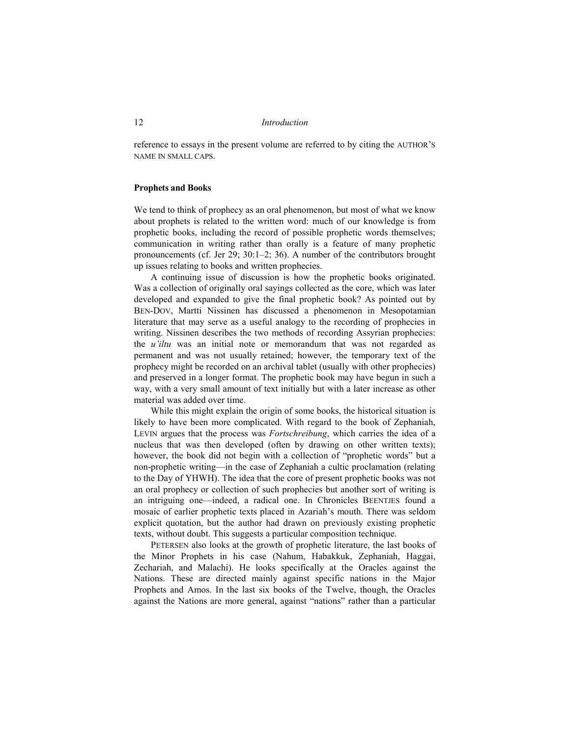reference to essays in the present volume are referred to by citing the AUTHOR'S NAME IN SMALL CAPS.

## **Prophets and Books**

We tend to think of prophecy as an oral phenomenon, but most of what we know about prophets is related to the written word: much of our knowledge is from prophetic books, including the record of possible prophetic words themselves; communication in writing rather than orally is a feature of many prophetic pronouncements (cf. Jer 29; 30:1–2; 36). A number of the contributors brought up issues relating to books and written prophecies.

A continuing issue of discussion is how the prophetic books originated. Was a collection of originally oral sayings collected as the core, which was later developed and expanded to give the final prophetic book? As pointed out by BEN-DOV, Martti Nissinen has discussed a phenomenon in Mesopotamian literature that may serve as a useful analogy to the recording of prophecies in writing. Nissinen describes the two methods of recording Assyrian prophecies: the *u'iltu* was an initial note or memorandum that was not regarded as permanent and was not usually retained; however, the temporary text of the prophecy might be recorded on an archival tablet (usually with other prophecies) and preserved in a longer format. The prophetic book may have begun in such a way, with a very small amount of text initially but with a later increase as other material was added over time.

While this might explain the origin of some books, the historical situation is likely to have been more complicated. With regard to the book of Zephaniah, LEVIN argues that the process was *Fortschreibung*, which carries the idea of a nucleus that was then developed (often by drawing on other written texts); however, the book did not begin with a collection of "prophetic words" but a non-prophetic writing—in the case of Zephaniah a cultic proclamation (relating to the Day of YHWH). The idea that the core of present prophetic books was not an oral prophecy or collection of such prophecies but another sort of writing is an intriguing one—indeed, a radical one. In Chronicles BEENTJES found a mosaic of earlier prophetic texts placed in Azariah's mouth. There was seldom explicit quotation, but the author had drawn on previously existing prophetic texts, without doubt. This suggests a particular composition technique.

PETERSEN also looks at the growth of prophetic literature, the last books of the Minor Prophets in his case (Nahum, Habakkuk, Zephaniah, Haggai, Zechariah, and Malachi). He looks specifically at the Oracles against the Nations. These are directed mainly against specific nations in the Major Prophets and Amos. In the last six books of the Twelve, though, the Oracles against the Nations are more general, against "nations" rather than a particular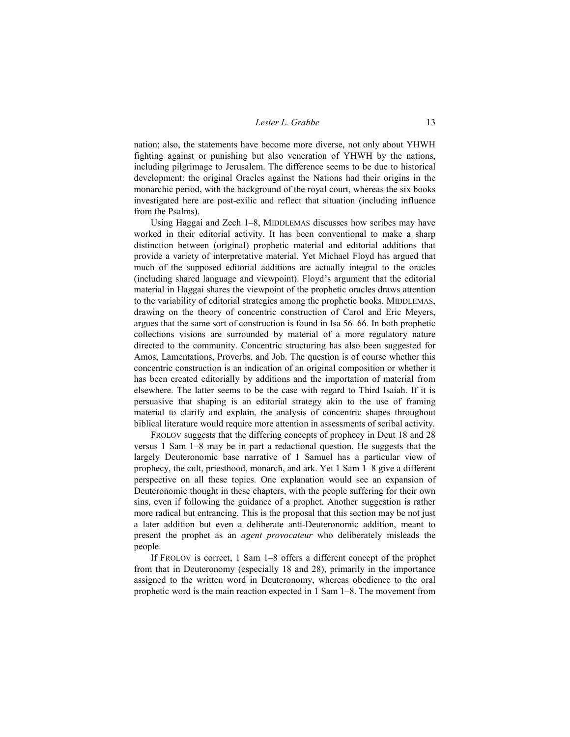nation; also, the statements have become more diverse, not only about YHWH fighting against or punishing but also veneration of YHWH by the nations, including pilgrimage to Jerusalem. The difference seems to be due to historical development: the original Oracles against the Nations had their origins in the monarchic period, with the background of the royal court, whereas the six books investigated here are post-exilic and reflect that situation (including influence from the Psalms).

Using Haggai and Zech 1–8, MIDDLEMAS discusses how scribes may have worked in their editorial activity. It has been conventional to make a sharp distinction between (original) prophetic material and editorial additions that provide a variety of interpretative material. Yet Michael Floyd has argued that much of the supposed editorial additions are actually integral to the oracles (including shared language and viewpoint). Floyd's argument that the editorial material in Haggai shares the viewpoint of the prophetic oracles draws attention to the variability of editorial strategies among the prophetic books. MIDDLEMAS, drawing on the theory of concentric construction of Carol and Eric Meyers, argues that the same sort of construction is found in Isa 56–66. In both prophetic collections visions are surrounded by material of a more regulatory nature directed to the community. Concentric structuring has also been suggested for Amos, Lamentations, Proverbs, and Job. The question is of course whether this concentric construction is an indication of an original composition or whether it has been created editorially by additions and the importation of material from elsewhere. The latter seems to be the case with regard to Third Isaiah. If it is persuasive that shaping is an editorial strategy akin to the use of framing material to clarify and explain, the analysis of concentric shapes throughout biblical literature would require more attention in assessments of scribal activity.

FROLOV suggests that the differing concepts of prophecy in Deut 18 and 28 versus 1 Sam 1–8 may be in part a redactional question. He suggests that the largely Deuteronomic base narrative of 1 Samuel has a particular view of prophecy, the cult, priesthood, monarch, and ark. Yet 1 Sam 1–8 give a different perspective on all these topics. One explanation would see an expansion of Deuteronomic thought in these chapters, with the people suffering for their own sins, even if following the guidance of a prophet. Another suggestion is rather more radical but entrancing. This is the proposal that this section may be not just a later addition but even a deliberate anti-Deuteronomic addition, meant to present the prophet as an *agent provocateur* who deliberately misleads the people.

If FROLOV is correct, 1 Sam 1–8 offers a different concept of the prophet from that in Deuteronomy (especially 18 and 28), primarily in the importance assigned to the written word in Deuteronomy, whereas obedience to the oral prophetic word is the main reaction expected in 1 Sam 1–8. The movement from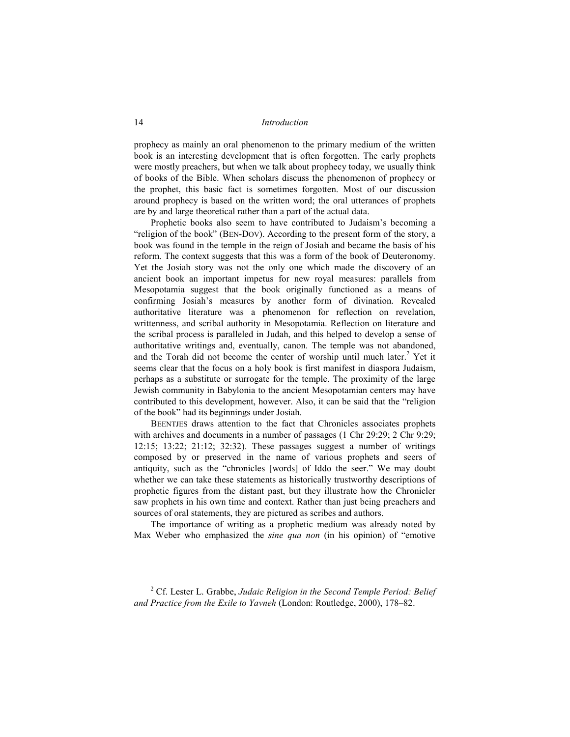## 14 *Introduction*

prophecy as mainly an oral phenomenon to the primary medium of the written book is an interesting development that is often forgotten. The early prophets were mostly preachers, but when we talk about prophecy today, we usually think of books of the Bible. When scholars discuss the phenomenon of prophecy or the prophet, this basic fact is sometimes forgotten. Most of our discussion around prophecy is based on the written word; the oral utterances of prophets are by and large theoretical rather than a part of the actual data.

Prophetic books also seem to have contributed to Judaism's becoming a "religion of the book" (BEN-DOV). According to the present form of the story, a book was found in the temple in the reign of Josiah and became the basis of his reform. The context suggests that this was a form of the book of Deuteronomy. Yet the Josiah story was not the only one which made the discovery of an ancient book an important impetus for new royal measures: parallels from Mesopotamia suggest that the book originally functioned as a means of confirming Josiah's measures by another form of divination. Revealed authoritative literature was a phenomenon for reflection on revelation, writtenness, and scribal authority in Mesopotamia. Reflection on literature and the scribal process is paralleled in Judah, and this helped to develop a sense of authoritative writings and, eventually, canon. The temple was not abandoned, and the Torah did not become the center of worship until much later.<sup>2</sup> Yet it seems clear that the focus on a holy book is first manifest in diaspora Judaism, perhaps as a substitute or surrogate for the temple. The proximity of the large Jewish community in Babylonia to the ancient Mesopotamian centers may have contributed to this development, however. Also, it can be said that the "religion of the book" had its beginnings under Josiah.

BEENTJES draws attention to the fact that Chronicles associates prophets with archives and documents in a number of passages (1 Chr 29:29; 2 Chr 9:29; 12:15; 13:22; 21:12; 32:32). These passages suggest a number of writings composed by or preserved in the name of various prophets and seers of antiquity, such as the "chronicles [words] of Iddo the seer." We may doubt whether we can take these statements as historically trustworthy descriptions of prophetic figures from the distant past, but they illustrate how the Chronicler saw prophets in his own time and context. Rather than just being preachers and sources of oral statements, they are pictured as scribes and authors.

The importance of writing as a prophetic medium was already noted by Max Weber who emphasized the *sine qua non* (in his opinion) of "emotive

 $\overline{a}$ 

<sup>2</sup> Cf. Lester L. Grabbe, *Judaic Religion in the Second Temple Period: Belief and Practice from the Exile to Yavneh* (London: Routledge, 2000), 178–82.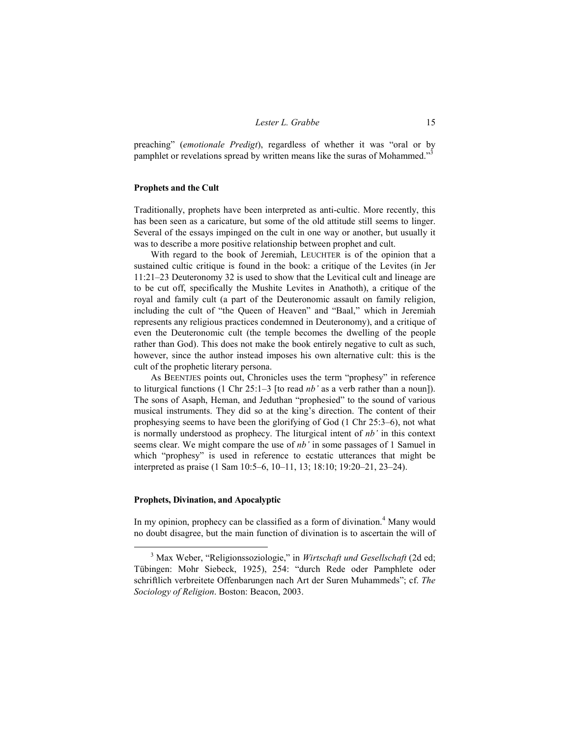preaching" (*emotionale Predigt*), regardless of whether it was "oral or by pamphlet or revelations spread by written means like the suras of Mohammed."

## **Prophets and the Cult**

Traditionally, prophets have been interpreted as anti-cultic. More recently, this has been seen as a caricature, but some of the old attitude still seems to linger. Several of the essays impinged on the cult in one way or another, but usually it was to describe a more positive relationship between prophet and cult.

With regard to the book of Jeremiah, LEUCHTER is of the opinion that a sustained cultic critique is found in the book: a critique of the Levites (in Jer 11:21–23 Deuteronomy 32 is used to show that the Levitical cult and lineage are to be cut off, specifically the Mushite Levites in Anathoth), a critique of the royal and family cult (a part of the Deuteronomic assault on family religion, including the cult of "the Queen of Heaven" and "Baal," which in Jeremiah represents any religious practices condemned in Deuteronomy), and a critique of even the Deuteronomic cult (the temple becomes the dwelling of the people rather than God). This does not make the book entirely negative to cult as such, however, since the author instead imposes his own alternative cult: this is the cult of the prophetic literary persona.

As BEENTJES points out, Chronicles uses the term "prophesy" in reference to liturgical functions (1 Chr 25:1–3 [to read *nb'* as a verb rather than a noun]). The sons of Asaph, Heman, and Jeduthan "prophesied" to the sound of various musical instruments. They did so at the king's direction. The content of their prophesying seems to have been the glorifying of God (1 Chr 25:3–6), not what is normally understood as prophecy. The liturgical intent of *nb'* in this context seems clear. We might compare the use of *nb'* in some passages of 1 Samuel in which "prophesy" is used in reference to ecstatic utterances that might be interpreted as praise (1 Sam 10:5–6, 10–11, 13; 18:10; 19:20–21, 23–24).

# **Prophets, Divination, and Apocalyptic**

 $\overline{a}$ 

In my opinion, prophecy can be classified as a form of divination.<sup>4</sup> Many would no doubt disagree, but the main function of divination is to ascertain the will of

<sup>3</sup> Max Weber, "Religionssoziologie," in *Wirtschaft und Gesellschaft* (2d ed; Tübingen: Mohr Siebeck, 1925), 254: "durch Rede oder Pamphlete oder schriftlich verbreitete Offenbarungen nach Art der Suren Muhammeds"; cf. *The Sociology of Religion*. Boston: Beacon, 2003.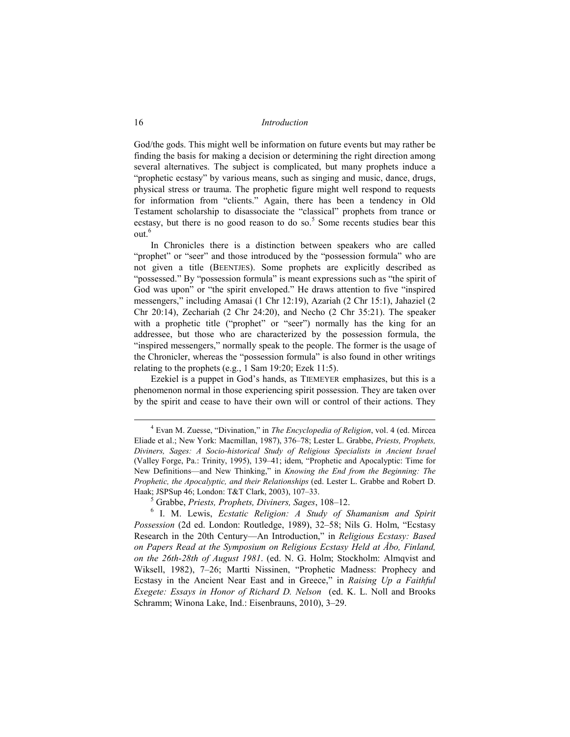God/the gods. This might well be information on future events but may rather be finding the basis for making a decision or determining the right direction among several alternatives. The subject is complicated, but many prophets induce a "prophetic ecstasy" by various means, such as singing and music, dance, drugs, physical stress or trauma. The prophetic figure might well respond to requests for information from "clients." Again, there has been a tendency in Old Testament scholarship to disassociate the "classical" prophets from trance or ecstasy, but there is no good reason to do so.<sup>5</sup> Some recents studies bear this out. $6$ 

In Chronicles there is a distinction between speakers who are called "prophet" or "seer" and those introduced by the "possession formula" who are not given a title (BEENTJES). Some prophets are explicitly described as "possessed." By "possession formula" is meant expressions such as "the spirit of God was upon" or "the spirit enveloped." He draws attention to five "inspired messengers," including Amasai (1 Chr 12:19), Azariah (2 Chr 15:1), Jahaziel (2 Chr 20:14), Zechariah (2 Chr 24:20), and Necho (2 Chr 35:21). The speaker with a prophetic title ("prophet" or "seer") normally has the king for an addressee, but those who are characterized by the possession formula, the "inspired messengers," normally speak to the people. The former is the usage of the Chronicler, whereas the "possession formula" is also found in other writings relating to the prophets (e.g., 1 Sam 19:20; Ezek 11:5).

Ezekiel is a puppet in God's hands, as TIEMEYER emphasizes, but this is a phenomenon normal in those experiencing spirit possession. They are taken over by the spirit and cease to have their own will or control of their actions. They

 $\overline{a}$ 

<sup>4</sup> Evan M. Zuesse, "Divination," in *The Encyclopedia of Religion*, vol. 4 (ed. Mircea Eliade et al.; New York: Macmillan, 1987), 376–78; Lester L. Grabbe, *Priests, Prophets, Diviners, Sages: A Socio-historical Study of Religious Specialists in Ancient Israel* (Valley Forge, Pa.: Trinity, 1995), 139–41; idem, "Prophetic and Apocalyptic: Time for New Definitions—and New Thinking," in *Knowing the End from the Beginning: The Prophetic, the Apocalyptic, and their Relationships* (ed. Lester L. Grabbe and Robert D. Haak; JSPSup 46; London: T&T Clark, 2003), 107–33.

<sup>5</sup> Grabbe, *Priests, Prophets, Diviners, Sages*, 108–12.

<sup>6</sup> I. M. Lewis, *Ecstatic Religion: A Study of Shamanism and Spirit Possession* (2d ed. London: Routledge, 1989), 32–58; Nils G. Holm, "Ecstasy Research in the 20th Century—An Introduction," in *Religious Ecstasy: Based on Papers Read at the Symposium on Religious Ecstasy Held at Åbo, Finland, on the 26th-28th of August 1981*. (ed. N. G. Holm; Stockholm: Almqvist and Wiksell, 1982), 7–26; Martti Nissinen, "Prophetic Madness: Prophecy and Ecstasy in the Ancient Near East and in Greece," in *Raising Up a Faithful Exegete: Essays in Honor of Richard D. Nelson* (ed. K. L. Noll and Brooks Schramm; Winona Lake, Ind.: Eisenbrauns, 2010), 3–29.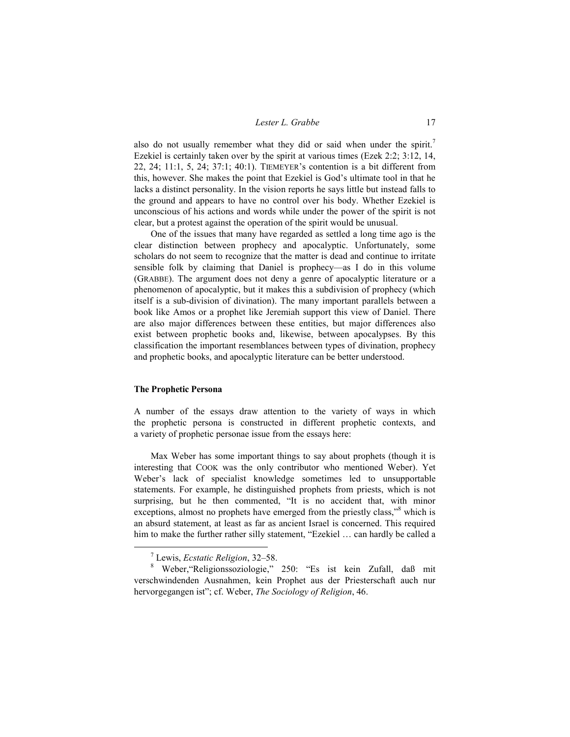also do not usually remember what they did or said when under the spirit.<sup>7</sup> Ezekiel is certainly taken over by the spirit at various times (Ezek 2:2; 3:12, 14, 22, 24; 11:1, 5, 24; 37:1; 40:1). TIEMEYER's contention is a bit different from this, however. She makes the point that Ezekiel is God's ultimate tool in that he lacks a distinct personality. In the vision reports he says little but instead falls to the ground and appears to have no control over his body. Whether Ezekiel is unconscious of his actions and words while under the power of the spirit is not clear, but a protest against the operation of the spirit would be unusual.

One of the issues that many have regarded as settled a long time ago is the clear distinction between prophecy and apocalyptic. Unfortunately, some scholars do not seem to recognize that the matter is dead and continue to irritate sensible folk by claiming that Daniel is prophecy—as I do in this volume (GRABBE). The argument does not deny a genre of apocalyptic literature or a phenomenon of apocalyptic, but it makes this a subdivision of prophecy (which itself is a sub-division of divination). The many important parallels between a book like Amos or a prophet like Jeremiah support this view of Daniel. There are also major differences between these entities, but major differences also exist between prophetic books and, likewise, between apocalypses. By this classification the important resemblances between types of divination, prophecy and prophetic books, and apocalyptic literature can be better understood.

## **The Prophetic Persona**

 $\overline{a}$ 

A number of the essays draw attention to the variety of ways in which the prophetic persona is constructed in different prophetic contexts, and a variety of prophetic personae issue from the essays here:

Max Weber has some important things to say about prophets (though it is interesting that COOK was the only contributor who mentioned Weber). Yet Weber's lack of specialist knowledge sometimes led to unsupportable statements. For example, he distinguished prophets from priests, which is not surprising, but he then commented, "It is no accident that, with minor exceptions, almost no prophets have emerged from the priestly class,"<sup>8</sup> which is an absurd statement, at least as far as ancient Israel is concerned. This required him to make the further rather silly statement, "Ezekiel … can hardly be called a

<sup>7</sup> Lewis, *Ecstatic Religion*, 32–58.

<sup>8</sup> Weber,"Religionssoziologie," 250: "Es ist kein Zufall, daß mit verschwindenden Ausnahmen, kein Prophet aus der Priesterschaft auch nur hervorgegangen ist"; cf. Weber, *The Sociology of Religion*, 46.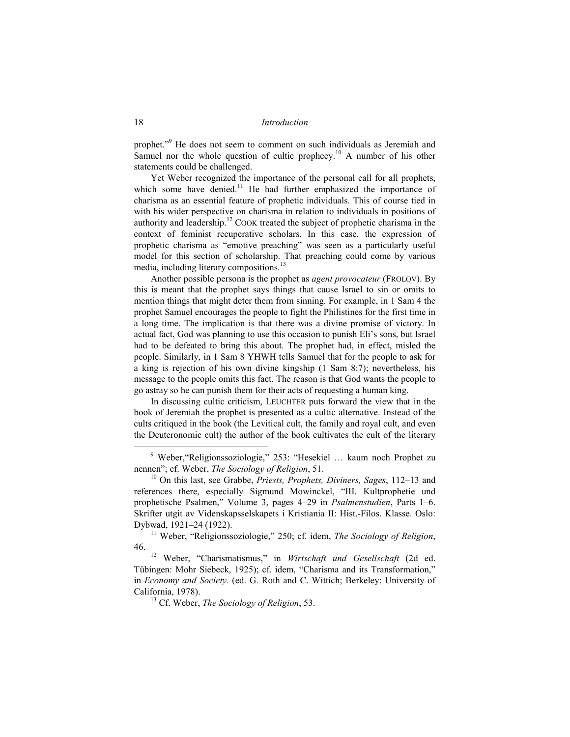prophet."<sup>9</sup> He does not seem to comment on such individuals as Jeremiah and Samuel nor the whole question of cultic prophecy.<sup>10</sup> A number of his other statements could be challenged.

Yet Weber recognized the importance of the personal call for all prophets, which some have denied.<sup>11</sup> He had further emphasized the importance of charisma as an essential feature of prophetic individuals. This of course tied in with his wider perspective on charisma in relation to individuals in positions of authority and leadership.<sup>12</sup> COOK treated the subject of prophetic charisma in the context of feminist recuperative scholars. In this case, the expression of prophetic charisma as "emotive preaching" was seen as a particularly useful model for this section of scholarship. That preaching could come by various media, including literary compositions.<sup>13</sup>

Another possible persona is the prophet as *agent provocateur* (FROLOV). By this is meant that the prophet says things that cause Israel to sin or omits to mention things that might deter them from sinning. For example, in 1 Sam 4 the prophet Samuel encourages the people to fight the Philistines for the first time in a long time. The implication is that there was a divine promise of victory. In actual fact, God was planning to use this occasion to punish Eli's sons, but Israel had to be defeated to bring this about. The prophet had, in effect, misled the people. Similarly, in 1 Sam 8 YHWH tells Samuel that for the people to ask for a king is rejection of his own divine kingship (1 Sam 8:7); nevertheless, his message to the people omits this fact. The reason is that God wants the people to go astray so he can punish them for their acts of requesting a human king.

In discussing cultic criticism, LEUCHTER puts forward the view that in the book of Jeremiah the prophet is presented as a cultic alternative. Instead of the cults critiqued in the book (the Levitical cult, the family and royal cult, and even the Deuteronomic cult) the author of the book cultivates the cult of the literary

 $\overline{a}$ 

<sup>9</sup> Weber,"Religionssoziologie," 253: "Hesekiel … kaum noch Prophet zu nennen"; cf. Weber, *The Sociology of Religion*, 51.

<sup>10</sup> On this last, see Grabbe, *Priests, Prophets, Diviners, Sages*, 112–13 and references there, especially Sigmund Mowinckel, "III. Kultprophetie und prophetische Psalmen," Volume 3, pages 4–29 in *Psalmenstudien*, Parts 1–6. Skrifter utgit av Videnskapsselskapets i Kristiania II: Hist.-Filos. Klasse. Oslo: Dybwad, 1921–24 (1922).

<sup>&</sup>lt;sup>11</sup> Weber, "Religionssoziologie," 250; cf. idem, *The Sociology of Religion*, 46.

<sup>12</sup> Weber, "Charismatismus," in *Wirtschaft und Gesellschaft* (2d ed. Tübingen: Mohr Siebeck, 1925); cf. idem, "Charisma and its Transformation," in *Economy and Society.* (ed. G. Roth and C. Wittich; Berkeley: University of California, 1978).

<sup>13</sup> Cf. Weber, *The Sociology of Religion*, 53.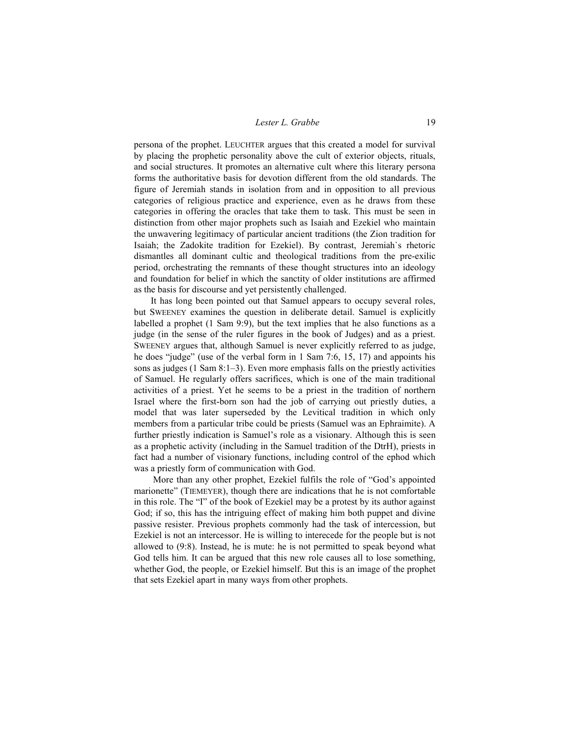persona of the prophet. LEUCHTER argues that this created a model for survival by placing the prophetic personality above the cult of exterior objects, rituals, and social structures. It promotes an alternative cult where this literary persona forms the authoritative basis for devotion different from the old standards. The figure of Jeremiah stands in isolation from and in opposition to all previous categories of religious practice and experience, even as he draws from these categories in offering the oracles that take them to task. This must be seen in distinction from other major prophets such as Isaiah and Ezekiel who maintain the unwavering legitimacy of particular ancient traditions (the Zion tradition for Isaiah; the Zadokite tradition for Ezekiel). By contrast, Jeremiah`s rhetoric dismantles all dominant cultic and theological traditions from the pre-exilic period, orchestrating the remnants of these thought structures into an ideology and foundation for belief in which the sanctity of older institutions are affirmed as the basis for discourse and yet persistently challenged.

It has long been pointed out that Samuel appears to occupy several roles, but SWEENEY examines the question in deliberate detail. Samuel is explicitly labelled a prophet (1 Sam 9:9), but the text implies that he also functions as a judge (in the sense of the ruler figures in the book of Judges) and as a priest. SWEENEY argues that, although Samuel is never explicitly referred to as judge, he does "judge" (use of the verbal form in 1 Sam 7:6, 15, 17) and appoints his sons as judges (1 Sam 8:1–3). Even more emphasis falls on the priestly activities of Samuel. He regularly offers sacrifices, which is one of the main traditional activities of a priest. Yet he seems to be a priest in the tradition of northern Israel where the first-born son had the job of carrying out priestly duties, a model that was later superseded by the Levitical tradition in which only members from a particular tribe could be priests (Samuel was an Ephraimite). A further priestly indication is Samuel's role as a visionary. Although this is seen as a prophetic activity (including in the Samuel tradition of the DtrH), priests in fact had a number of visionary functions, including control of the ephod which was a priestly form of communication with God.

More than any other prophet, Ezekiel fulfils the role of "God's appointed marionette" (TIEMEYER), though there are indications that he is not comfortable in this role. The "I" of the book of Ezekiel may be a protest by its author against God; if so, this has the intriguing effect of making him both puppet and divine passive resister. Previous prophets commonly had the task of intercession, but Ezekiel is not an intercessor. He is willing to interecede for the people but is not allowed to (9:8). Instead, he is mute: he is not permitted to speak beyond what God tells him. It can be argued that this new role causes all to lose something, whether God, the people, or Ezekiel himself. But this is an image of the prophet that sets Ezekiel apart in many ways from other prophets.